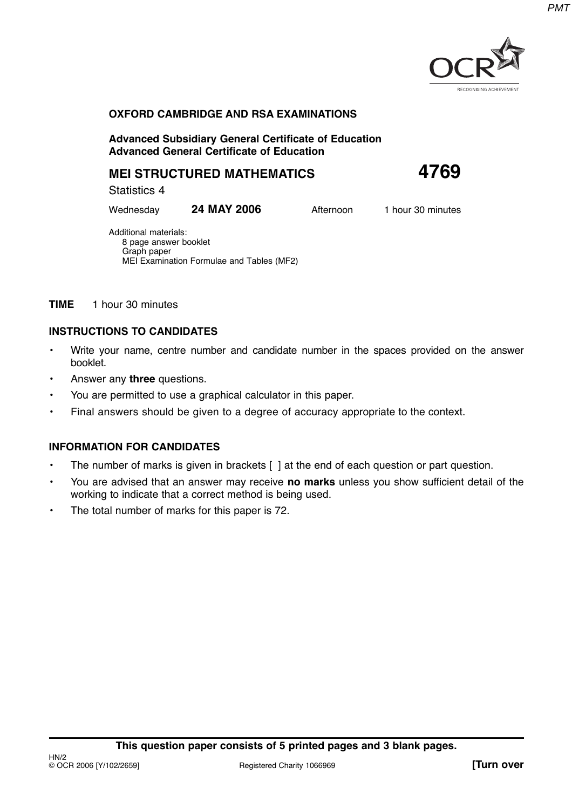

## **OXFORD CAMBRIDGE AND RSA EXAMINATIONS**

**Advanced Subsidiary General Certificate of Education Advanced General Certificate of Education**

# **MEI STRUCTURED MATHEMATICS 4769**

Statistics 4

Wednesday **24 MAY 2006** Afternoon 1 hour 30 minutes

Additional materials: 8 page answer booklet Graph paper MEI Examination Formulae and Tables (MF2)

**TIME** 1 hour 30 minutes

## **INSTRUCTIONS TO CANDIDATES**

- Write your name, centre number and candidate number in the spaces provided on the answer booklet.
- Answer any **three** questions.
- You are permitted to use a graphical calculator in this paper.
- Final answers should be given to a degree of accuracy appropriate to the context.

#### **INFORMATION FOR CANDIDATES**

- The number of marks is given in brackets [ ] at the end of each question or part question.
- You are advised that an answer may receive **no marks** unless you show sufficient detail of the working to indicate that a correct method is being used.
- The total number of marks for this paper is 72.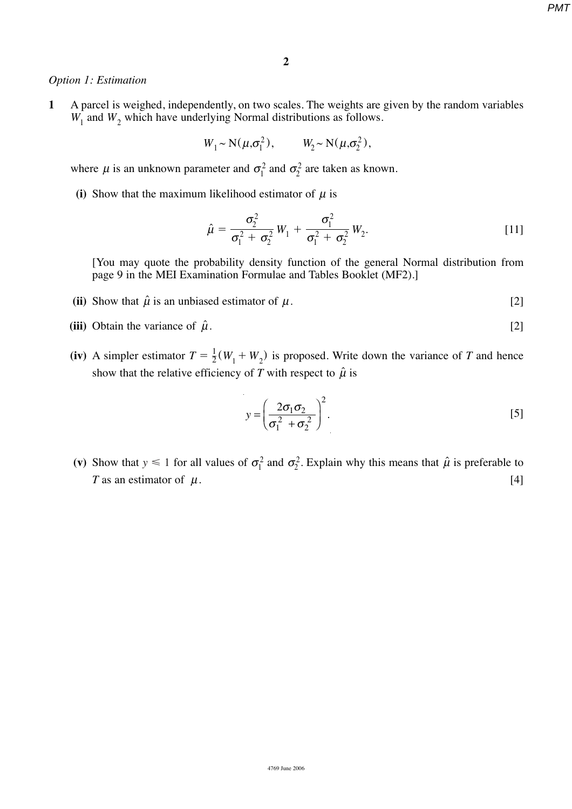## *Option 1: Estimation*

**1** A parcel is weighed, independently, on two scales. The weights are given by the random variables  $W_1$  and  $W_2$  which have underlying Normal distributions as follows.

$$
W_1 \sim N(\mu, \sigma_1^2), \qquad W_2 \sim N(\mu, \sigma_2^2),
$$

where  $\mu$  is an unknown parameter and  $\sigma_1^2$  and  $\sigma_2^2$  are taken as known.

(i) Show that the maximum likelihood estimator of  $\mu$  is

$$
\hat{\mu} = \frac{\sigma_2^2}{\sigma_1^2 + \sigma_2^2} W_1 + \frac{\sigma_1^2}{\sigma_1^2 + \sigma_2^2} W_2.
$$
 [11]

[You may quote the probability density function of the general Normal distribution from page 9 in the MEI Examination Formulae and Tables Booklet (MF2).]

- (ii) Show that  $\hat{\mu}$  is an unbiased estimator of  $\mu$ . [2]
- (iii) Obtain the variance of  $\hat{\mu}$ . [2]
- (iv) A simpler estimator  $T = \frac{1}{2}(W_1 + W_2)$  is proposed. Write down the variance of *T* and hence show that the relative efficiency of *T* with respect to  $\hat{\mu}$  is

$$
y = \left(\frac{2\sigma_1\sigma_2}{\sigma_1^2 + \sigma_2^2}\right)^2.
$$
 [5]

(v) Show that  $y \le 1$  for all values of  $\sigma_1^2$  and  $\sigma_2^2$ . Explain why this means that  $\hat{\mu}$  is preferable to *T* as an estimator of  $\mu$ . [4]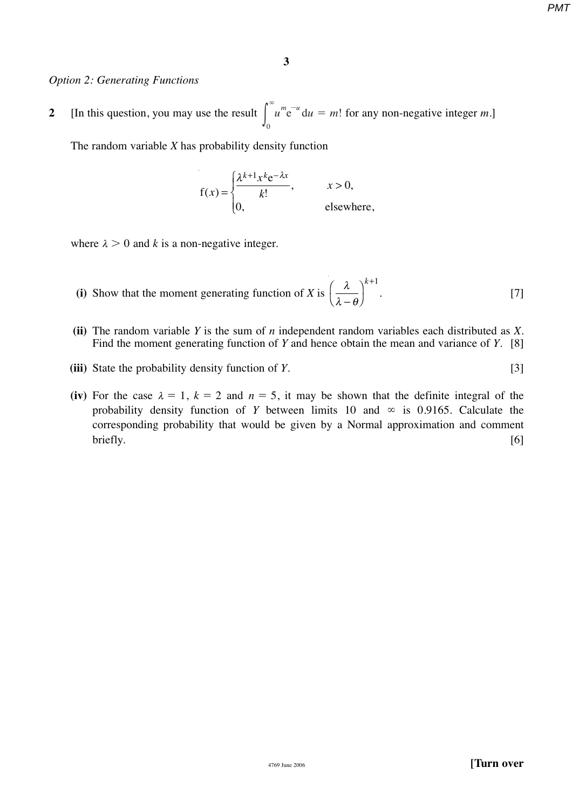# *Option 2: Generating Functions*

**2** [In this question, you may use the result  $\int_{0}^{1} u^{m} e^{-u} du = m!$  for any non-negative integer *m*.]  $\int_{u}^{m} e^{-u} du = m!$ 0

The random variable *X* has probability density function

$$
f(x) = \begin{cases} \frac{\lambda^{k+1} x^k e^{-\lambda x}}{k!}, & x > 0, \\ 0, & \text{elsewhere,} \end{cases}
$$

where  $\lambda > 0$  and *k* is a non-negative integer.

- (i) Show that the moment generating function of *X* is  $\left(\frac{\lambda}{\lambda}\right)^{n+1}$ . [7]  $\lambda - \theta$ Ê Ë ˆ  $\overline{ }$ *k*+1 .
- **(ii)** The random variable *Y* is the sum of *n* independent random variables each distributed as *X*. Find the moment generating function of *Y* and hence obtain the mean and variance of *Y*. [8]
- **(iii)** State the probability density function of *Y*. [3]
- (iv) For the case  $\lambda = 1$ ,  $k = 2$  and  $n = 5$ , it may be shown that the definite integral of the probability density function of *Y* between limits 10 and  $\infty$  is 0.9165. Calculate the corresponding probability that would be given by a Normal approximation and comment briefly. [6]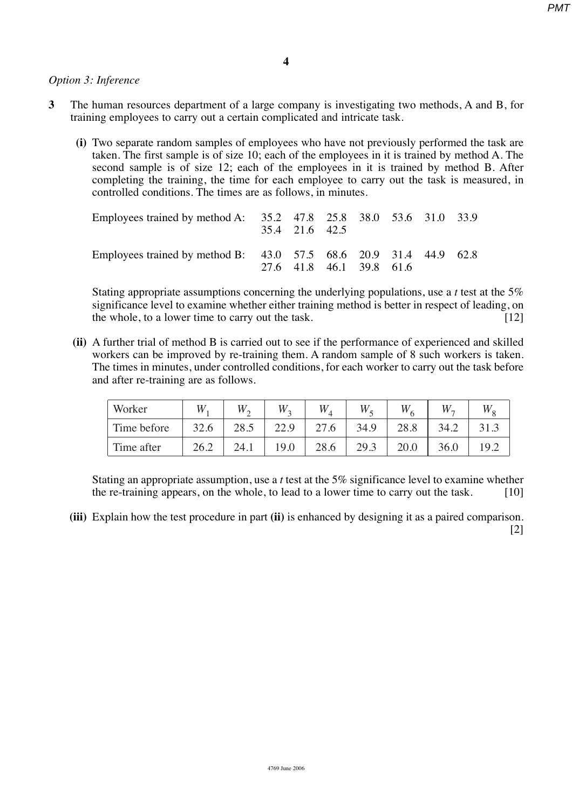# *Option 3: Inference*

- **3** The human resources department of a large company is investigating two methods, A and B, for training employees to carry out a certain complicated and intricate task.
	- **(i)** Two separate random samples of employees who have not previously performed the task are taken. The first sample is of size 10; each of the employees in it is trained by method A. The second sample is of size 12; each of the employees in it is trained by method B. After completing the training, the time for each employee to carry out the task is measured, in controlled conditions. The times are as follows, in minutes.

| Employees trained by method A: 35.2 47.8 25.8 38.0 53.6 31.0 33.9 | 35.4 21.6 42.5           |  |  |  |
|-------------------------------------------------------------------|--------------------------|--|--|--|
| Employees trained by method B: 43.0 57.5 68.6 20.9 31.4 44.9 62.8 | 27.6 41.8 46.1 39.8 61.6 |  |  |  |

Stating appropriate assumptions concerning the underlying populations, use a *t* test at the 5% significance level to examine whether either training method is better in respect of leading, on the whole, to a lower time to carry out the task. [12]

**(ii)** A further trial of method B is carried out to see if the performance of experienced and skilled workers can be improved by re-training them. A random sample of 8 such workers is taken. The times in minutes, under controlled conditions, for each worker to carry out the task before and after re-training are as follows.

| Worker      | W    |      | $W_{2}$ | $W_{\scriptscriptstyle A}$ | W.   |      |      |      |
|-------------|------|------|---------|----------------------------|------|------|------|------|
| Time before | 32.6 | 28.5 | 22.9    | 27.6                       | 34.9 | 28.8 | 34.2 |      |
| Time after  | 26.2 | 24.1 | 19.0    | 28.6                       | 29.3 | 20.0 | 36.0 | 19.2 |

Stating an appropriate assumption, use a *t* test at the 5% significance level to examine whether the re-training appears, on the whole, to lead to a lower time to carry out the task. [10]

**(iii)** Explain how the test procedure in part **(ii)** is enhanced by designing it as a paired comparison. [2]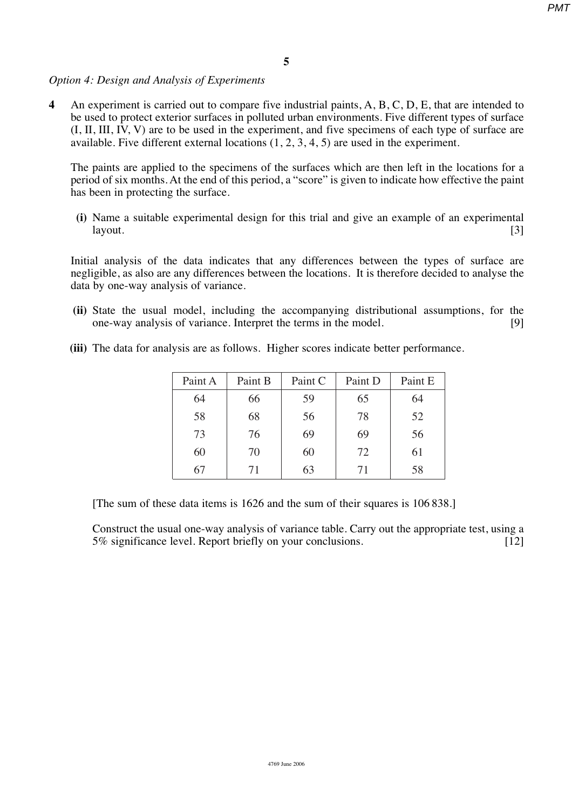*Option 4: Design and Analysis of Experiments*

**4** An experiment is carried out to compare five industrial paints, A, B, C, D, E, that are intended to be used to protect exterior surfaces in polluted urban environments. Five different types of surface (I, II, III, IV, V) are to be used in the experiment, and five specimens of each type of surface are available. Five different external locations (1, 2, 3, 4, 5) are used in the experiment.

The paints are applied to the specimens of the surfaces which are then left in the locations for a period of six months. At the end of this period, a "score" is given to indicate how effective the paint has been in protecting the surface.

**(i)** Name a suitable experimental design for this trial and give an example of an experimental layout. [3]

Initial analysis of the data indicates that any differences between the types of surface are negligible, as also are any differences between the locations. It is therefore decided to analyse the data by one-way analysis of variance.

**(ii)** State the usual model, including the accompanying distributional assumptions, for the one-way analysis of variance. Interpret the terms in the model. [9]

| Paint A | Paint B | Paint C | Paint D | Paint E |
|---------|---------|---------|---------|---------|
| 64      | 66      | 59      | 65      | 64      |
| 58      | 68      | 56      | 78      | 52      |
| 73      | 76      | 69      | 69      | 56      |
| 60      | 70      | 60      | 72      | 61      |
| 67      | 71      | 63      | 71      | 58      |

**(iii)** The data for analysis are as follows. Higher scores indicate better performance.

[The sum of these data items is 1626 and the sum of their squares is 106 838.]

Construct the usual one-way analysis of variance table. Carry out the appropriate test, using a 5% significance level. Report briefly on your conclusions. [12]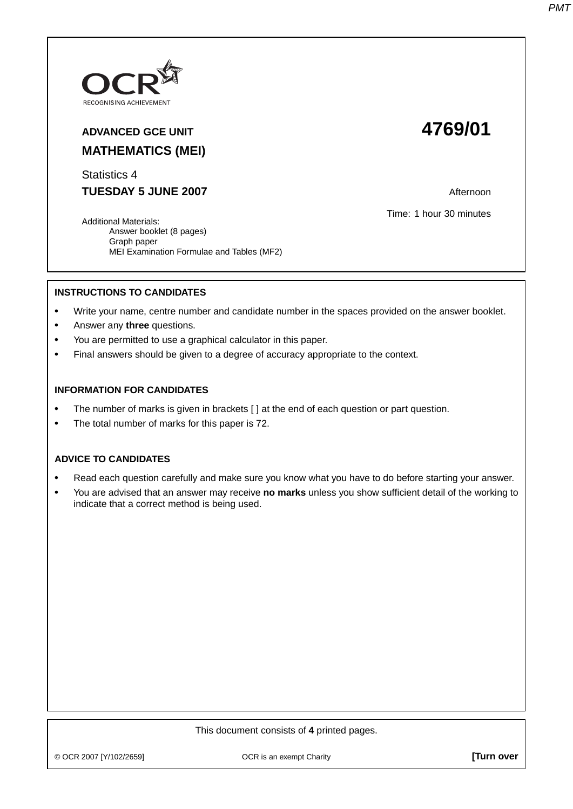

# **ADVANCED GCE UNIT 4769/01 MATHEMATICS (MEI)**

Statistics 4

**TUESDAY 5 JUNE 2007** Afternoon

Time: 1 hour 30 minutes

Additional Materials: Answer booklet (8 pages) Graph paper MEI Examination Formulae and Tables (MF2)

#### **INSTRUCTIONS TO CANDIDATES**

- **•** Write your name, centre number and candidate number in the spaces provided on the answer booklet.
- **•** Answer any **three** questions.
- **•** You are permitted to use a graphical calculator in this paper.
- **•** Final answers should be given to a degree of accuracy appropriate to the context.

#### **INFORMATION FOR CANDIDATES**

- **•** The number of marks is given in brackets [ ] at the end of each question or part question.
- **•** The total number of marks for this paper is 72.

#### **ADVICE TO CANDIDATES**

- **•** Read each question carefully and make sure you know what you have to do before starting your answer.
- **•** You are advised that an answer may receive **no marks** unless you show sufficient detail of the working to indicate that a correct method is being used.

This document consists of **4** printed pages.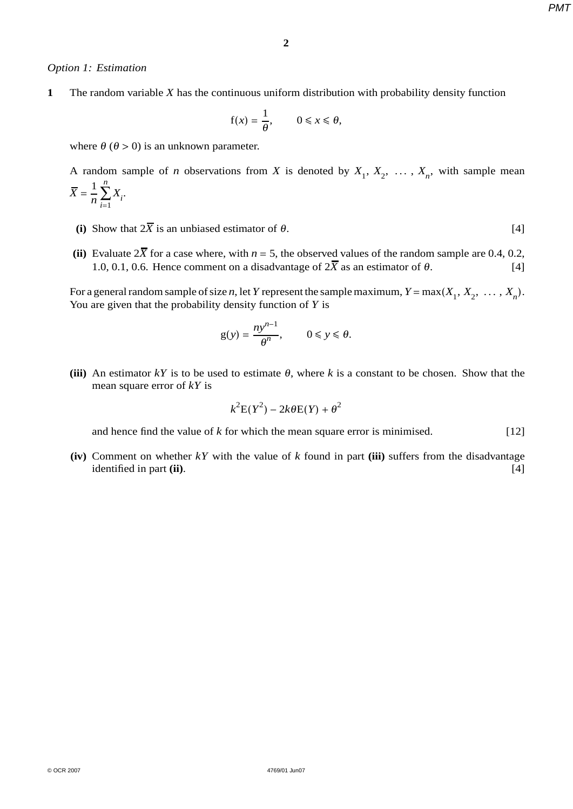#### *Option 1: Estimation*

**1** The random variable *X* has the continuous uniform distribution with probability density function

$$
f(x) = \frac{1}{\theta}, \qquad 0 \leq x \leq \theta,
$$

where  $\theta$  ( $\theta > 0$ ) is an unknown parameter.

A random sample of *n* observations from *X* is denoted by  $X_1, X_2, \ldots, X_n$ , with sample mean

$$
\overline{X} = \frac{1}{n} \sum_{i=1}^{n} X_i.
$$

- (i) Show that  $2\overline{X}$  is an unbiased estimator of  $\theta$ . [4]
- (ii) Evaluate  $2\overline{X}$  for a case where, with  $n = 5$ , the observed values of the random sample are 0.4, 0.2, 1.0, 0.1, 0.6. Hence comment on a disadvantage of  $2\overline{X}$  as an estimator of  $\theta$ . [4]

For a general random sample of size *n*, let *Y* represent the sample maximum,  $Y = \max(X_1, X_2, \ldots, X_n)$ . You are given that the probability density function of *Y* is

$$
g(y) = \frac{ny^{n-1}}{\theta^n}, \qquad 0 \leq y \leq \theta.
$$

(iii) An estimator  $kY$  is to be used to estimate  $\theta$ , where k is a constant to be chosen. Show that the mean square error of *kY* is

$$
k^2\mathcal{E}(Y^2) - 2k\theta\mathcal{E}(Y) + \theta^2
$$

and hence find the value of *k* for which the mean square error is minimised. [12]

**(iv)** Comment on whether *kY* with the value of *k* found in part **(iii)** suffers from the disadvantage identified in part **(ii)**. [4]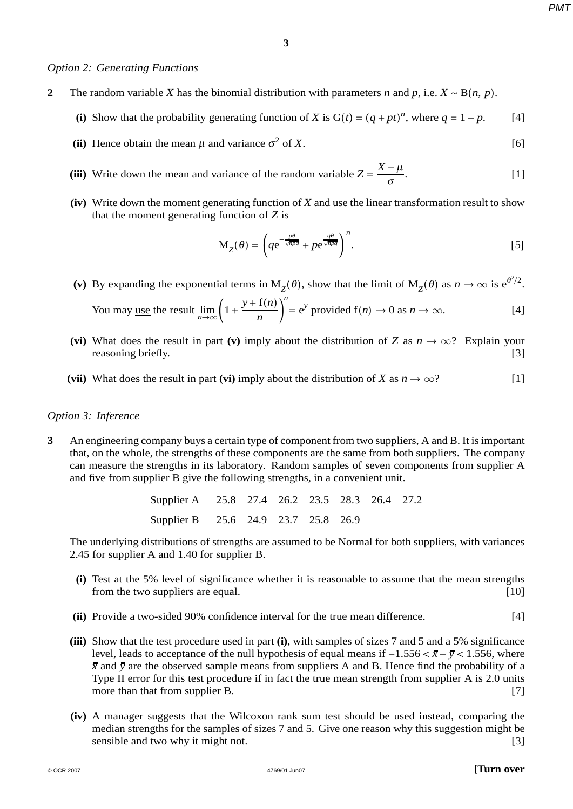# *Option 2: Generating Functions*

- **2** The random variable *X* has the binomial distribution with parameters *n* and *p*, i.e.  $X \sim B(n, p)$ .
	- (i) Show that the probability generating function of *X* is  $G(t) = (q + pt)^n$ , where  $q = 1 p$ . [4]
	- (ii) Hence obtain the mean  $\mu$  and variance  $\sigma^2$  of *X*. [6]
	- **(iii)** Write down the mean and variance of the random variable  $Z = \frac{X \mu}{\sigma}$ . [1]
	- **(iv)** Write down the moment generating function of *X* and use the linear transformation result to show that the moment generating function of *Z* is

$$
M_Z(\theta) = \left( q e^{-\frac{p\theta}{\sqrt{npq}}} + p e^{\frac{q\theta}{\sqrt{npq}}} \right)^n.
$$
 [5]

(v) By expanding the exponential terms in  $M_Z(\theta)$ , show that the limit of  $M_Z(\theta)$  as  $n \to \infty$  is  $e^{\theta^2/2}$ .

You may use the result 
$$
\lim_{n \to \infty} \left( 1 + \frac{y + f(n)}{n} \right)^n = e^y
$$
 provided  $f(n) \to 0$  as  $n \to \infty$ . [4]

- **(vi)** What does the result in part **(v)** imply about the distribution of *Z* as  $n \to \infty$ ? Explain your reasoning briefly. [3] [3] reasoning briefly.
- **(vii)** What does the result in part **(vi)** imply about the distribution of *X* as  $n \to \infty$ ? [1]

# *Option 3: Inference*

**3** An engineering company buys a certain type of component from two suppliers, A and B. It is important that, on the whole, the strengths of these components are the same from both suppliers. The company can measure the strengths in its laboratory. Random samples of seven components from supplier A and five from supplier B give the following strengths, in a convenient unit.

| Supplier A 25.8 27.4 26.2 23.5 28.3 26.4 27.2 |  |  |  |  |
|-----------------------------------------------|--|--|--|--|
| Supplier B 25.6 24.9 23.7 25.8 26.9           |  |  |  |  |

The underlying distributions of strengths are assumed to be Normal for both suppliers, with variances 2.45 for supplier A and 1.40 for supplier B.

- **(i)** Test at the 5% level of significance whether it is reasonable to assume that the mean strengths from the two suppliers are equal. [10]
- **(ii)** Provide a two-sided 90% confidence interval for the true mean difference. [4]
- **(iii)** Show that the test procedure used in part **(i)**, with samples of sizes 7 and 5 and a 5% significance level, leads to acceptance of the null hypothesis of equal means if −1.556 < *x* − *y* < 1.556, where  $\bar{x}$  and  $\bar{y}$  are the observed sample means from suppliers A and B. Hence find the probability of a Type II error for this test procedure if in fact the true mean strength from supplier A is 2.0 units more than that from supplier B. [7]
- **(iv)** A manager suggests that the Wilcoxon rank sum test should be used instead, comparing the median strengths for the samples of sizes 7 and 5. Give one reason why this suggestion might be sensible and two why it might not. [3]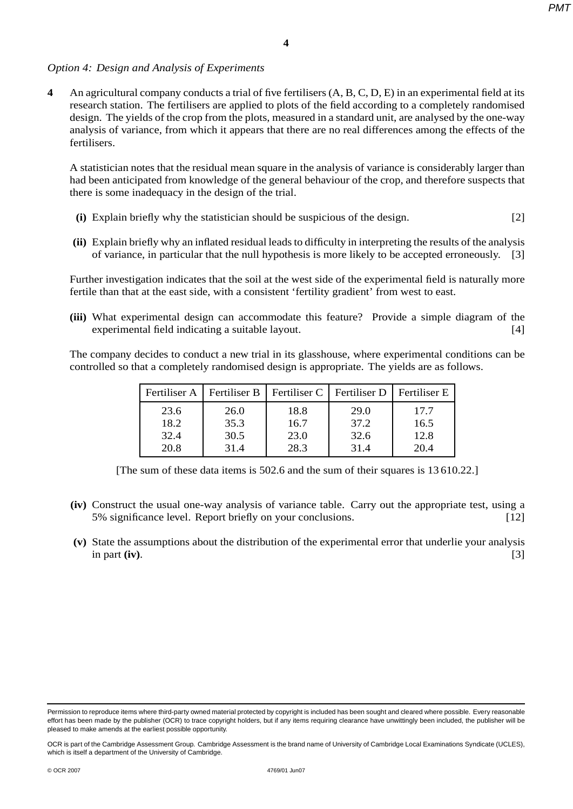#### *Option 4: Design and Analysis of Experiments*

**4** An agricultural company conducts a trial of five fertilisers (A, B, C, D, E) in an experimental field at its research station. The fertilisers are applied to plots of the field according to a completely randomised design. The yields of the crop from the plots, measured in a standard unit, are analysed by the one-way analysis of variance, from which it appears that there are no real differences among the effects of the fertilisers.

A statistician notes that the residual mean square in the analysis of variance is considerably larger than had been anticipated from knowledge of the general behaviour of the crop, and therefore suspects that there is some inadequacy in the design of the trial.

- **(i)** Explain briefly why the statistician should be suspicious of the design. [2]
- **(ii)** Explain briefly why an inflated residual leads to difficulty in interpreting the results of the analysis of variance, in particular that the null hypothesis is more likely to be accepted erroneously. [3]

Further investigation indicates that the soil at the west side of the experimental field is naturally more fertile than that at the east side, with a consistent 'fertility gradient' from west to east.

**(iii)** What experimental design can accommodate this feature? Provide a simple diagram of the experimental field indicating a suitable layout. [4]

The company decides to conduct a new trial in its glasshouse, where experimental conditions can be controlled so that a completely randomised design is appropriate. The yields are as follows.

| Fertiliser A   Fertiliser B |      |      | Fertiliser C   Fertiliser D   Fertiliser E |      |
|-----------------------------|------|------|--------------------------------------------|------|
| 23.6                        | 26.0 | 18.8 | 29.0                                       | 17.7 |
| 18.2                        | 35.3 | 16.7 | 37.2                                       | 16.5 |
| 32.4                        | 30.5 | 23.0 | 32.6                                       | 12.8 |
| 20.8                        | 31.4 | 28.3 | 31.4                                       | 20.4 |

[The sum of these data items is 502.6 and the sum of their squares is 13 610.22.]

- **(iv)** Construct the usual one-way analysis of variance table. Carry out the appropriate test, using a 5% significance level. Report briefly on your conclusions. [12]
- **(v)** State the assumptions about the distribution of the experimental error that underlie your analysis in part **(iv)**. [3]

Permission to reproduce items where third-party owned material protected by copyright is included has been sought and cleared where possible. Every reasonable effort has been made by the publisher (OCR) to trace copyright holders, but if any items requiring clearance have unwittingly been included, the publisher will be pleased to make amends at the earliest possible opportunity.

OCR is part of the Cambridge Assessment Group. Cambridge Assessment is the brand name of University of Cambridge Local Examinations Syndicate (UCLES), which is itself a department of the University of Cambridge.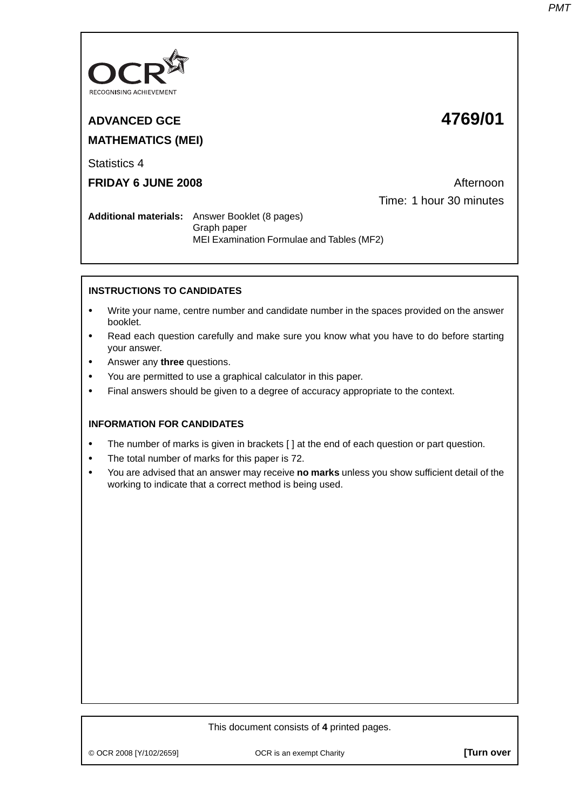

**ADVANCED GCE 4769/01 MATHEMATICS (MEI)**

Statistics 4

**FRIDAY 6 JUNE 2008 Afternoon** Time: 1 hour 30 minutes

**Additional materials:** Answer Booklet (8 pages) Graph paper MEI Examination Formulae and Tables (MF2)

# **INSTRUCTIONS TO CANDIDATES**

- **•** Write your name, centre number and candidate number in the spaces provided on the answer booklet.
- **•** Read each question carefully and make sure you know what you have to do before starting your answer.
- **•** Answer any **three** questions.
- **•** You are permitted to use a graphical calculator in this paper.
- **•** Final answers should be given to a degree of accuracy appropriate to the context.

#### **INFORMATION FOR CANDIDATES**

- The number of marks is given in brackets  $\lceil \cdot \rceil$  at the end of each question or part question.
- **•** The total number of marks for this paper is 72.
- **•** You are advised that an answer may receive **no marks** unless you show sufficient detail of the working to indicate that a correct method is being used.

#### This document consists of **4** printed pages.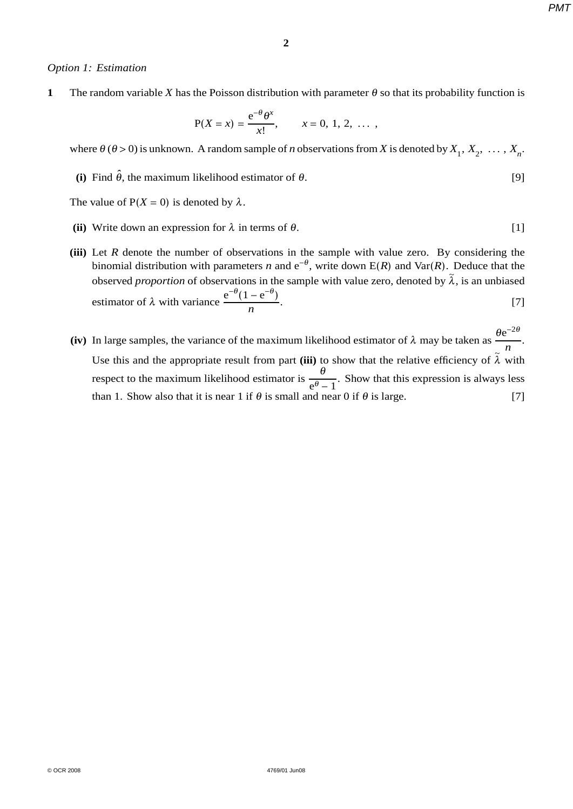#### *Option 1: Estimation*

**1** The random variable *X* has the Poisson distribution with parameter  $\theta$  so that its probability function is

$$
P(X = x) = {e^{-\theta} \theta^x \over x!}, \qquad x = 0, 1, 2, \dots,
$$

where  $\theta$  ( $\theta > 0$ ) is unknown. A random sample of *n* observations from *X* is denoted by  $X_1, X_2, \ldots, X_n$ .

**(i)** Find  $\hat{\theta}$ , the maximum likelihood estimator of  $\theta$ . [9]

The value of  $P(X = 0)$  is denoted by  $\lambda$ .

- (ii) Write down an expression for  $\lambda$  in terms of  $\theta$ . [1]
- **(iii)** Let *R* denote the number of observations in the sample with value zero. By considering the binomial distribution with parameters *n* and  $e^{-\theta}$ , write down E(*R*) and Var(*R*). Deduce that the observed *proportion* of observations in the sample with value zero, denoted by  $\tilde{\lambda}$ , is an unbiased estimator of  $\lambda$  with variance  $\frac{e^{-\theta}(1-e^{-\theta})}{n}$ .  $[7]$
- **(iv)** In large samples, the variance of the maximum likelihood estimator of λ may be taken as  $\frac{\theta e^{-2\theta}}{n}$ . Use this and the appropriate result from part (iii) to show that the relative efficiency of  $\tilde{\lambda}$  with respect to the maximum likelihood estimator is  $\frac{\theta}{a}$  $e^{\theta}$  – 1 . Show that this expression is always less than 1. Show also that it is near 1 if  $\theta$  is small and near 0 if  $\theta$  is large. [7]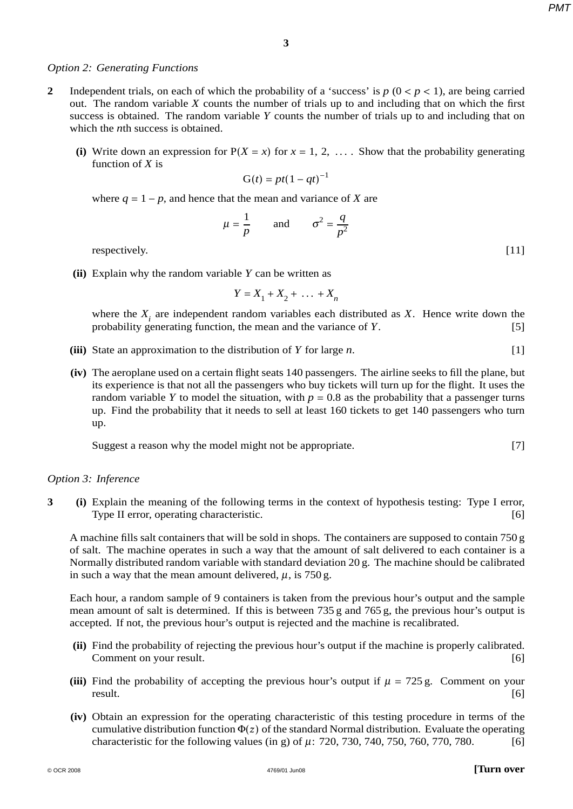# *Option 2: Generating Functions*

- **2** Independent trials, on each of which the probability of a 'success' is  $p (0 < p < 1)$ , are being carried out. The random variable *X* counts the number of trials up to and including that on which the first success is obtained. The random variable *Y* counts the number of trials up to and including that on which the *n*th success is obtained.
	- (i) Write down an expression for  $P(X = x)$  for  $x = 1, 2, \ldots$ . Show that the probability generating function of *X* is

$$
G(t) = pt(1 - qt)^{-1}
$$

where  $q = 1 - p$ , and hence that the mean and variance of *X* are

$$
\mu = \frac{1}{p} \quad \text{and} \quad \sigma^2 = \frac{q}{p^2}
$$
 [11]

respectively.

**(ii)** Explain why the random variable *Y* can be written as

$$
Y = X_1 + X_2 + \ldots + X_n
$$

where the  $X_i$  are independent random variables each distributed as  $X$ . Hence write down the probability generating function, the mean and the variance of  $Y$ . [5] probability generating function, the mean and the variance of *Y*.

- **(iii)** State an approximation to the distribution of *Y* for large *n*. [1]
- **(iv)** The aeroplane used on a certain flight seats 140 passengers. The airline seeks to fill the plane, but its experience is that not all the passengers who buy tickets will turn up for the flight. It uses the random variable *Y* to model the situation, with  $p = 0.8$  as the probability that a passenger turns up. Find the probability that it needs to sell at least 160 tickets to get 140 passengers who turn up.

Suggest a reason why the model might not be appropriate. [7]

#### *Option 3: Inference*

**3 (i)** Explain the meaning of the following terms in the context of hypothesis testing: Type I error, Type II error, operating characteristic. [6]

A machine fills salt containers that will be sold in shops. The containers are supposed to contain 750 g of salt. The machine operates in such a way that the amount of salt delivered to each container is a Normally distributed random variable with standard deviation 20 g. The machine should be calibrated in such a way that the mean amount delivered,  $\mu$ , is 750 g.

Each hour, a random sample of 9 containers is taken from the previous hour's output and the sample mean amount of salt is determined. If this is between 735 g and 765 g, the previous hour's output is accepted. If not, the previous hour's output is rejected and the machine is recalibrated.

- **(ii)** Find the probability of rejecting the previous hour's output if the machine is properly calibrated. Comment on your result. [6]
- (iii) Find the probability of accepting the previous hour's output if  $\mu = 725$  g. Comment on your result. result. [6]
- **(iv)** Obtain an expression for the operating characteristic of this testing procedure in terms of the cumulative distribution function  $\Phi(z)$  of the standard Normal distribution. Evaluate the operating characteristic for the following values (in g) of  $\mu$ : 720, 730, 740, 750, 760, 770, 780. [6]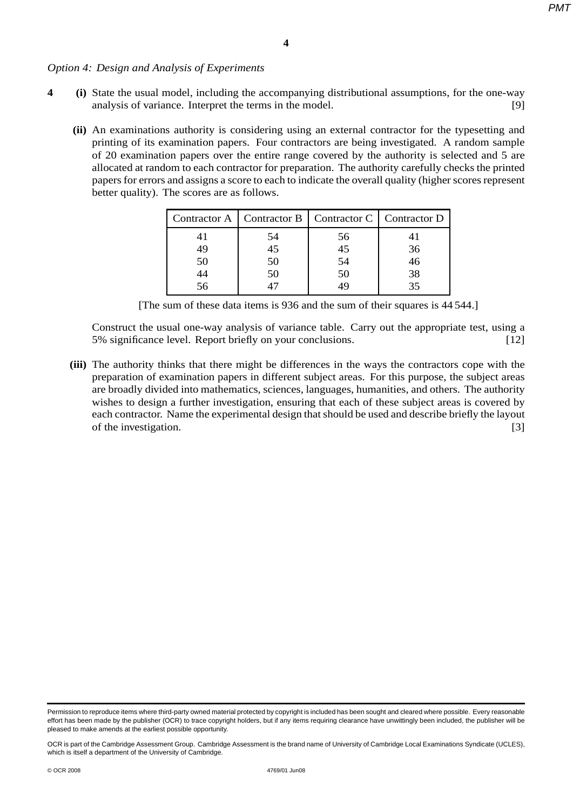## *Option 4: Design and Analysis of Experiments*

- **4 (i)** State the usual model, including the accompanying distributional assumptions, for the one-way analysis of variance. Interpret the terms in the model. [9]
	- **(ii)** An examinations authority is considering using an external contractor for the typesetting and printing of its examination papers. Four contractors are being investigated. A random sample of 20 examination papers over the entire range covered by the authority is selected and 5 are allocated at random to each contractor for preparation. The authority carefully checks the printed papers for errors and assigns a score to each to indicate the overall quality (higher scores represent better quality). The scores are as follows.

|    | Contractor A   Contractor B   Contractor C   Contractor D |    |    |
|----|-----------------------------------------------------------|----|----|
|    | 54                                                        | 56 |    |
| 49 | 45                                                        | 45 | 36 |
| 50 | 50                                                        | 54 | 46 |
| 44 | 50                                                        | 50 | 38 |
| 56 |                                                           |    |    |

[The sum of these data items is 936 and the sum of their squares is 44 544.]

Construct the usual one-way analysis of variance table. Carry out the appropriate test, using a 5% significance level. Report briefly on your conclusions. [12]

**(iii)** The authority thinks that there might be differences in the ways the contractors cope with the preparation of examination papers in different subject areas. For this purpose, the subject areas are broadly divided into mathematics, sciences, languages, humanities, and others. The authority wishes to design a further investigation, ensuring that each of these subject areas is covered by each contractor. Name the experimental design that should be used and describe briefly the layout of the investigation. [3]

Permission to reproduce items where third-party owned material protected by copyright is included has been sought and cleared where possible. Every reasonable effort has been made by the publisher (OCR) to trace copyright holders, but if any items requiring clearance have unwittingly been included, the publisher will be pleased to make amends at the earliest possible opportunity.

OCR is part of the Cambridge Assessment Group. Cambridge Assessment is the brand name of University of Cambridge Local Examinations Syndicate (UCLES), which is itself a department of the University of Cambridge.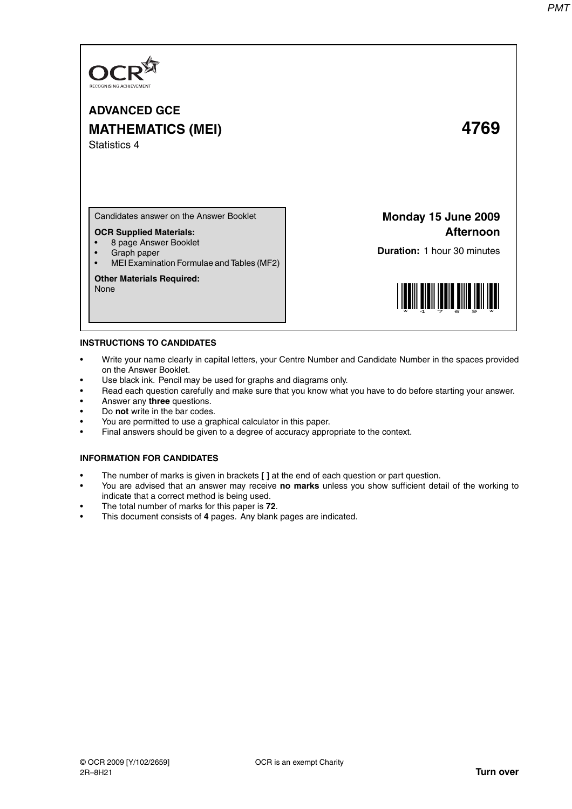

# **ADVANCED GCE MATHEMATICS (MEI) 4769** Statistics 4

Candidates answer on the Answer Booklet

#### **OCR Supplied Materials:**

- 8 page Answer Booklet
- Graph paper
- MEI Examination Formulae and Tables (MF2)

#### **Other Materials Required:**

None

**Monday 15 June 2009 Afternoon**

**Duration:** 1 hour 30 minutes



#### **INSTRUCTIONS TO CANDIDATES**

- Write your name clearly in capital letters, your Centre Number and Candidate Number in the spaces provided on the Answer Booklet.
- Use black ink. Pencil may be used for graphs and diagrams only.
- Read each question carefully and make sure that you know what you have to do before starting your answer.
- Answer any **three** questions.
- Do **not** write in the bar codes.
- You are permitted to use a graphical calculator in this paper.
- Final answers should be given to a degree of accuracy appropriate to the context.

#### **INFORMATION FOR CANDIDATES**

- The number of marks is given in brackets **[ ]** at the end of each question or part question.
- You are advised that an answer may receive **no marks** unless you show sufficient detail of the working to indicate that a correct method is being used.
- The total number of marks for this paper is **72**.
- This document consists of **4** pages. Any blank pages are indicated.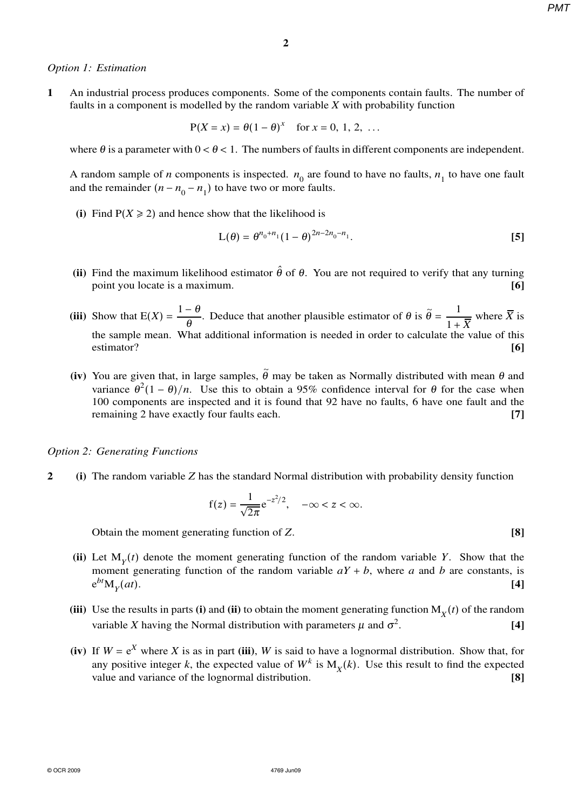#### *Option 1: Estimation*

**1** An industrial process produces components. Some of the components contain faults. The number of faults in a component is modelled by the random variable *X* with probability function

 $P(X = x) = \theta(1 - \theta)^{x}$  for  $x = 0, 1, 2, ...$ 

where  $\theta$  is a parameter with  $0 < \theta < 1$ . The numbers of faults in different components are independent.

A random sample of *n* components is inspected.  $n_0$  are found to have no faults,  $n_1$  to have one fault and the remainder  $(n - n_0 - n_1)$  to have two or more faults.

(i) Find  $P(X \ge 2)$  and hence show that the likelihood is

$$
L(\theta) = \theta^{n_0 + n_1} (1 - \theta)^{2n - 2n_0 - n_1}.
$$
 [5]

- (ii) Find the maximum likelihood estimator  $\hat{\theta}$  of  $\theta$ . You are not required to verify that any turning point you locate is a maximum. **[6]**
- (iii) Show that  $E(X) = \frac{1-\theta}{\theta}$ . Deduce that another plausible estimator of  $\theta$  is  $\tilde{\theta} =$ 1  $1 + \overline{X}$ where  $\overline{X}$  is the sample mean. What additional information is needed in order to calculate the value of this estimator? **[6]**
- (iv) You are given that, in large samples,  $\tilde{\theta}$  may be taken as Normally distributed with mean  $\theta$  and variance  $\theta^2(1-\theta)/n$ . Use this to obtain a 95% confidence interval for  $\theta$  for the case when 100 components are inspected and it is found that 92 have no faults, 6 have one fault and the remaining 2 have exactly four faults each. **[7]**

#### *Option 2: Generating Functions*

**2 (i)** The random variable *Z* has the standard Normal distribution with probability density function

$$
f(z) = \frac{1}{\sqrt{2\pi}} e^{-z^2/2}, \quad -\infty < z < \infty.
$$

Obtain the moment generating function of *Z*. **[8]**

- (ii) Let  $M_Y(t)$  denote the moment generating function of the random variable *Y*. Show that the moment generating function of the random variable  $aY + b$ , where *a* and *b* are constants, is e *bt*M*<sup>Y</sup>* (*at*). **[4]**
- **(iii)** Use the results in parts **(i)** and **(ii)** to obtain the moment generating function  $M_X(t)$  of the random variable *X* having the Normal distribution with parameters  $\mu$  and  $\sigma^2$ . **[4]**
- **(iv)** If  $W = e^X$  where *X* is as in part **(iii)**, *W* is said to have a lognormal distribution. Show that, for any positive integer *k*, the expected value of  $W^k$  is  $M_X(k)$ . Use this result to find the expected value and variance of the lognormal distribution. **[8]**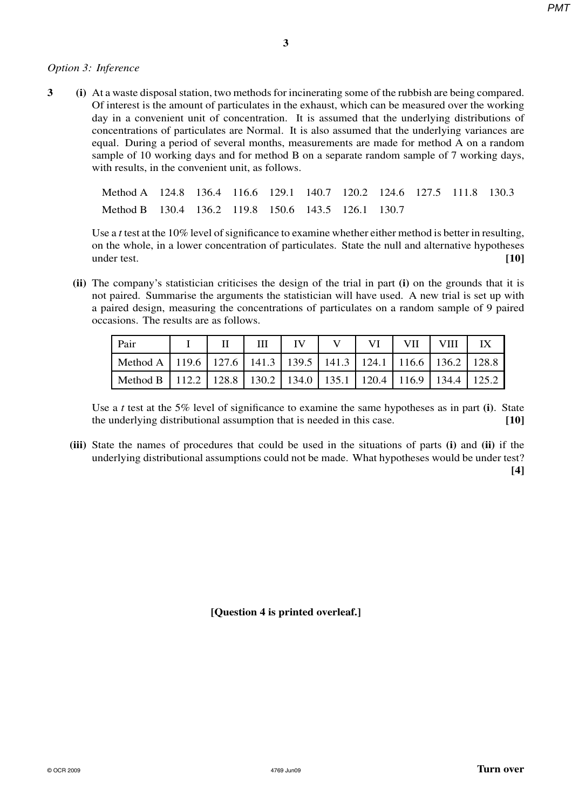#### *Option 3: Inference*

**3 (i)** At a waste disposal station, two methods for incinerating some of the rubbish are being compared. Of interest is the amount of particulates in the exhaust, which can be measured over the working day in a convenient unit of concentration. It is assumed that the underlying distributions of concentrations of particulates are Normal. It is also assumed that the underlying variances are equal. During a period of several months, measurements are made for method A on a random sample of 10 working days and for method B on a separate random sample of 7 working days, with results, in the convenient unit, as follows.

| Method A 124.8 136.4 116.6 129.1 140.7 120.2 124.6 127.5 111.8 130.3 |  |  |  |  |  |
|----------------------------------------------------------------------|--|--|--|--|--|
| Method B 130.4 136.2 119.8 150.6 143.5 126.1 130.7                   |  |  |  |  |  |

Use a *t* test at the 10% level of significance to examine whether either method is better in resulting, on the whole, in a lower concentration of particulates. State the null and alternative hypotheses under test. **[10]**

**(ii)** The company's statistician criticises the design of the trial in part **(i)** on the grounds that it is not paired. Summarise the arguments the statistician will have used. A new trial is set up with a paired design, measuring the concentrations of particulates on a random sample of 9 paired occasions. The results are as follows.

| Pair                                                                             |  |  | VI | VIII |  |
|----------------------------------------------------------------------------------|--|--|----|------|--|
| Method A   119.6   127.6   141.3   139.5   141.3   124.1   116.6   136.2   128.8 |  |  |    |      |  |
| Method B   112.2   128.8   130.2   134.0   135.1   120.4   116.9   134.4   125.2 |  |  |    |      |  |

Use a *t* test at the 5% level of significance to examine the same hypotheses as in part **(i)**. State the underlying distributional assumption that is needed in this case. **[10]**

**(iii)** State the names of procedures that could be used in the situations of parts **(i)** and **(ii)** if the underlying distributional assumptions could not be made. What hypotheses would be under test? **[4]**

**[Question 4 is printed overleaf.]**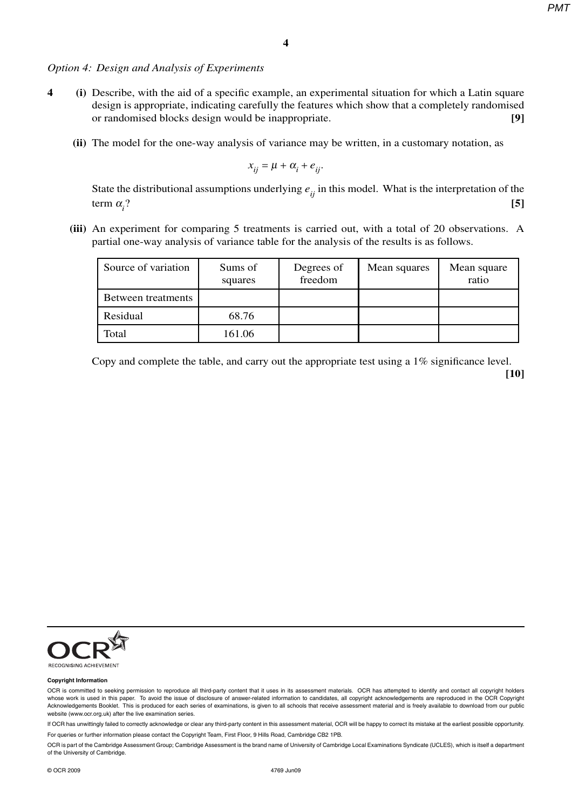*Option 4: Design and Analysis of Experiments*

- **4 (i)** Describe, with the aid of a specific example, an experimental situation for which a Latin square design is appropriate, indicating carefully the features which show that a completely randomised or randomised blocks design would be inappropriate. **[9]**
	- **(ii)** The model for the one-way analysis of variance may be written, in a customary notation, as

$$
x_{ij} = \mu + \alpha_i + e_{ij}.
$$

State the distributional assumptions underlying  $e_{ij}$  in this model. What is the interpretation of the term  $\alpha$ <sup>2</sup> ? **[5]**

**(iii)** An experiment for comparing 5 treatments is carried out, with a total of 20 observations. A partial one-way analysis of variance table for the analysis of the results is as follows.

| Source of variation | Sums of<br>squares | Degrees of<br>freedom | Mean squares | Mean square<br>ratio |
|---------------------|--------------------|-----------------------|--------------|----------------------|
| Between treatments  |                    |                       |              |                      |
| Residual            | 68.76              |                       |              |                      |
| Total               | 161.06             |                       |              |                      |

Copy and complete the table, and carry out the appropriate test using a 1% significance level.

**[10]**



#### **Copyright Information**

OCR is committed to seeking permission to reproduce all third-party content that it uses in its assessment materials. OCR has attempted to identify and contact all copyright holders whose work is used in this paper. To avoid the issue of disclosure of answer-related information to candidates, all copyright acknowledgements are reproduced in the OCR Copyright Acknowledgements Booklet. This is produced for each series of examinations, is given to all schools that receive assessment material and is freely available to download from our public website (www.ocr.org.uk) after the live examination series.

If OCR has unwittingly failed to correctly acknowledge or clear any third-party content in this assessment material, OCR will be happy to correct its mistake at the earliest possible opportunity. For queries or further information please contact the Copyright Team, First Floor, 9 Hills Road, Cambridge CB2 1PB.

OCR is part of the Cambridge Assessment Group; Cambridge Assessment is the brand name of University of Cambridge Local Examinations Syndicate (UCLES), which is itself a department of the University of Cambridge.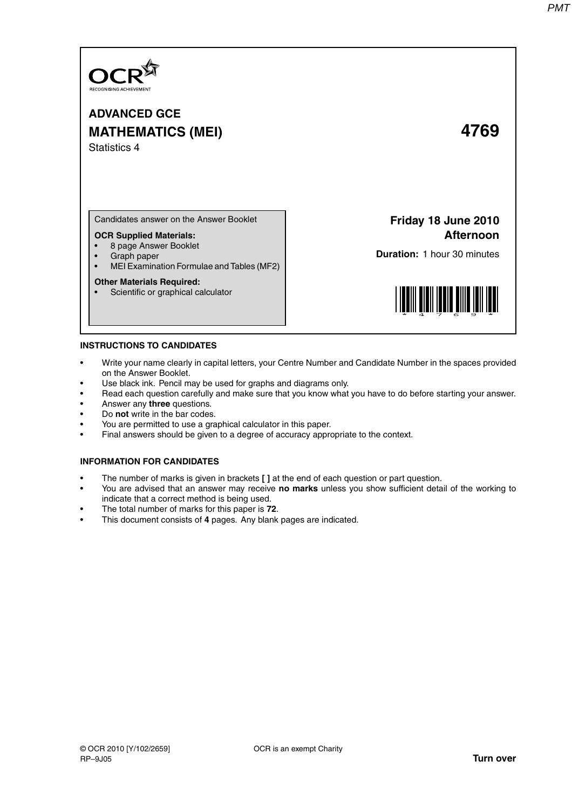

**ADVANCED GCE MATHEMATICS (MEI) 4769** Statistics 4

Candidates answer on the Answer Booklet

#### **OCR Supplied Materials:**

- 8 page Answer Booklet
- Graph paper<br>• MELExamina
- MEI Examination Formulae and Tables (MF2)

#### **Other Materials Required:**

• Scientific or graphical calculator

**Friday 18 June 2010 Afternoon**

**Duration:** 1 hour 30 minutes



#### **INSTRUCTIONS TO CANDIDATES**

- Write your name clearly in capital letters, your Centre Number and Candidate Number in the spaces provided on the Answer Booklet.
- Use black ink. Pencil may be used for graphs and diagrams only.
- Read each question carefully and make sure that you know what you have to do before starting your answer.
- Answer any **three** questions.
- Do **not** write in the bar codes.
- You are permitted to use a graphical calculator in this paper.
- Final answers should be given to a degree of accuracy appropriate to the context.

#### **INFORMATION FOR CANDIDATES**

- The number of marks is given in brackets **[ ]** at the end of each question or part question.
- You are advised that an answer may receive **no marks** unless you show sufficient detail of the working to indicate that a correct method is being used.
- The total number of marks for this paper is **72**.
- This document consists of **4** pages. Any blank pages are indicated.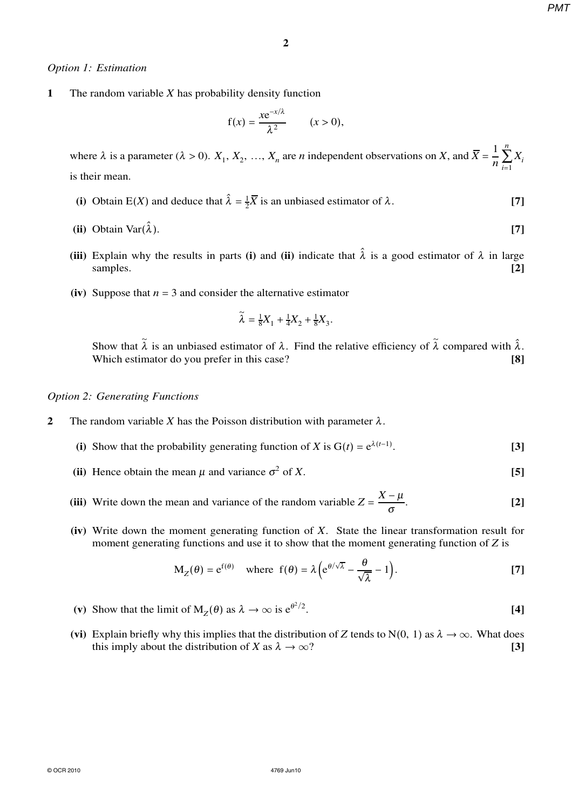#### *Option 1: Estimation*

**1** The random variable *X* has probability density function

$$
f(x) = \frac{xe^{-x/\lambda}}{\lambda^2} \qquad (x > 0),
$$

where  $\lambda$  is a parameter ( $\lambda > 0$ ).  $X_1, X_2, ..., X_n$  are *n* independent observations on *X*, and  $\overline{X} = \frac{1}{n}$ *n n* ∑ *i*=1 *Xi* is their mean.

- (i) Obtain E(*X*) and deduce that  $\hat{\lambda} = \frac{1}{2}\overline{X}$  is an unbiased estimator of  $\lambda$ . [7]
- (ii) Obtain Var $(\hat{\lambda})$ .  $\hat{\lambda}$ ). [7]
- **(iii)** Explain why the results in parts **(i)** and **(ii)** indicate that  $\hat{\lambda}$  is a good estimator of  $\lambda$  in large samples. **[2]**
- **(iv)** Suppose that  $n = 3$  and consider the alternative estimator

$$
\widetilde{\lambda} = \frac{1}{8}X_1 + \frac{1}{4}X_2 + \frac{1}{8}X_3.
$$

Show that  $\tilde{\lambda}$  is an unbiased estimator of  $\lambda$ . Find the relative efficiency of  $\tilde{\lambda}$  compared with  $\hat{\lambda}$ . Which estimator do you prefer in this case? **[8]** 

#### *Option 2: Generating Functions*

- **2** The random variable *X* has the Poisson distribution with parameter  $\lambda$ .
	- (i) Show that the probability generating function of *X* is  $G(t) = e^{\lambda(t-1)}$ . **[3]**
	- (ii) Hence obtain the mean  $\mu$  and variance  $\sigma^2$ of *X*. **[5]**
	- **(iii)** Write down the mean and variance of the random variable  $Z = \frac{X \mu}{\sigma}$ σ . **[2]**
	- **(iv)** Write down the moment generating function of *X*. State the linear transformation result for moment generating functions and use it to show that the moment generating function of *Z* is

$$
M_Z(\theta) = e^{f(\theta)} \quad \text{where } f(\theta) = \lambda \left( e^{\theta/\sqrt{\lambda}} - \frac{\theta}{\sqrt{\lambda}} - 1 \right). \tag{7}
$$

- (v) Show that the limit of  $M_Z(\theta)$  as  $\lambda \to \infty$  is  $e^{\theta^2/2}$ . **[4]**
- (vi) Explain briefly why this implies that the distribution of *Z* tends to N(0, 1) as  $\lambda \to \infty$ . What does this imply about the distribution of *X* as  $\lambda \to \infty$ ? this imply about the distribution of *X* as  $\lambda \to \infty$ ?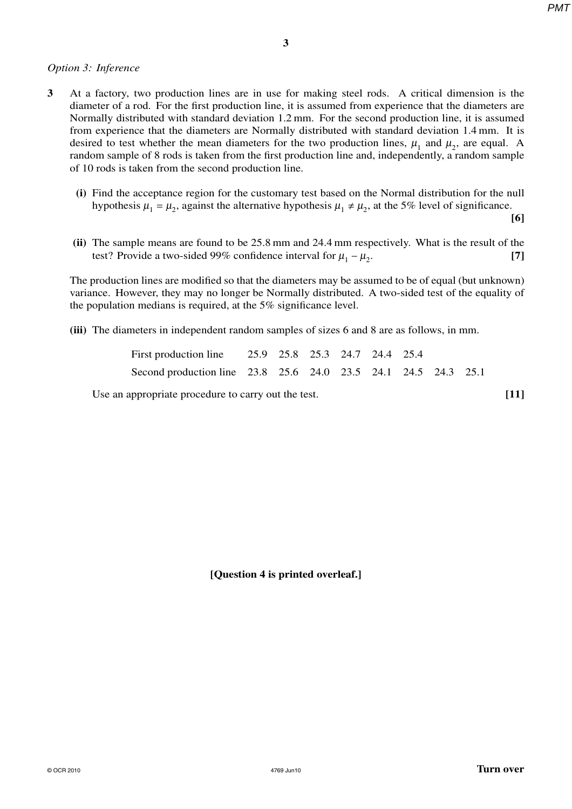#### *Option 3: Inference*

- **3** At a factory, two production lines are in use for making steel rods. A critical dimension is the diameter of a rod. For the first production line, it is assumed from experience that the diameters are Normally distributed with standard deviation 1.2 mm. For the second production line, it is assumed from experience that the diameters are Normally distributed with standard deviation 1.4 mm. It is desired to test whether the mean diameters for the two production lines,  $\mu_1$  and  $\mu_2$ , are equal. A random sample of 8 rods is taken from the first production line and, independently, a random sample of 10 rods is taken from the second production line.
	- **(i)** Find the acceptance region for the customary test based on the Normal distribution for the null hypothesis  $\mu_1 = \mu_2$ , against the alternative hypothesis  $\mu_1 \neq \mu_2$ , at the 5% level of significance.

**[6]**

**(ii)** The sample means are found to be 25.8 mm and 24.4 mm respectively. What is the result of the test? Provide a two-sided 99% confidence interval for  $\mu_1 - \mu_2$ . **[7]**

The production lines are modified so that the diameters may be assumed to be of equal (but unknown) variance. However, they may no longer be Normally distributed. A two-sided test of the equality of the population medians is required, at the 5% significance level.

**(iii)** The diameters in independent random samples of sizes 6 and 8 are as follows, in mm.

| First production line 25.9 25.8 25.3 24.7 24.4 25.4            |  |  |  |  |
|----------------------------------------------------------------|--|--|--|--|
| Second production line 23.8 25.6 24.0 23.5 24.1 24.5 24.3 25.1 |  |  |  |  |

Use an appropriate procedure to carry out the test. **[11]** 

**[Question 4 is printed overleaf.]**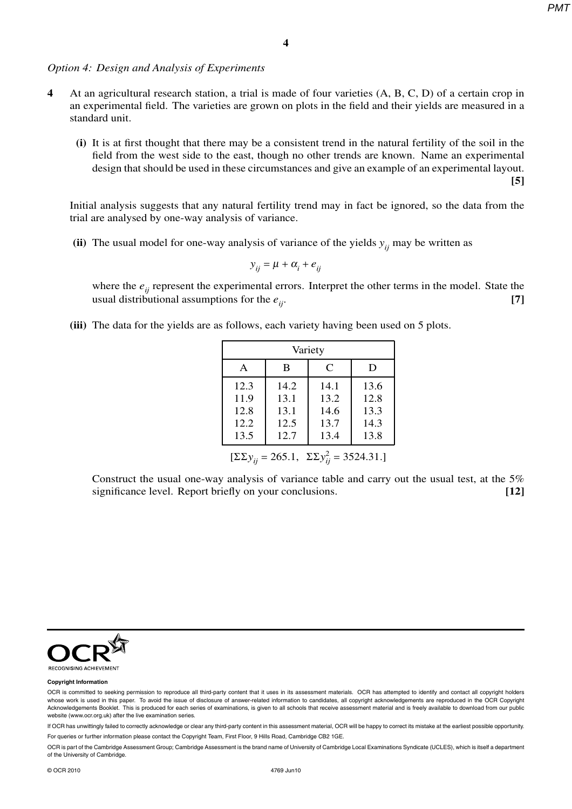#### *Option 4: Design and Analysis of Experiments*

- **4** At an agricultural research station, a trial is made of four varieties (A, B, C, D) of a certain crop in an experimental field. The varieties are grown on plots in the field and their yields are measured in a standard unit.
	- **(i)** It is at first thought that there may be a consistent trend in the natural fertility of the soil in the field from the west side to the east, though no other trends are known. Name an experimental design that should be used in these circumstances and give an example of an experimental layout. **[5]**

Initial analysis suggests that any natural fertility trend may in fact be ignored, so the data from the trial are analysed by one-way analysis of variance.

(ii) The usual model for one-way analysis of variance of the yields  $y_{ij}$  may be written as

$$
y_{ij} = \mu + \alpha_i + e_{ij}
$$

where the  $e_{ij}$  represent the experimental errors. Interpret the other terms in the model. State the usual distributional assumptions for the  $e_{ii}$ . usual distributional assumptions for the  $e_i$ .

**(iii)** The data for the yields are as follows, each variety having been used on 5 plots.

| Variety                      |                              |                              |                              |  |  |  |  |
|------------------------------|------------------------------|------------------------------|------------------------------|--|--|--|--|
| A                            | B                            | C                            | D                            |  |  |  |  |
| 12.3<br>11.9<br>12.8<br>12.2 | 14.2<br>13.1<br>13.1<br>12.5 | 14.1<br>13.2<br>14.6<br>13.7 | 13.6<br>12.8<br>13.3<br>14.3 |  |  |  |  |
| 13.5                         | 12.7                         | 13.4                         | 13.8                         |  |  |  |  |

 $[\Sigma \Sigma y_{ij} = 265.1, \ \Sigma \Sigma y_{ij}^2 = 3524.31.]$ 

Construct the usual one-way analysis of variance table and carry out the usual test, at the 5% significance level. Report briefly on your conclusions. **[12]**



#### **Copyright Information**

OCR is committed to seeking permission to reproduce all third-party content that it uses in its assessment materials. OCR has attempted to identify and contact all copyright holders whose work is used in this paper. To avoid the issue of disclosure of answer-related information to candidates, all copyright acknowledgements are reproduced in the OCR Copyright Acknowledgements Booklet. This is produced for each series of examinations, is given to all schools that receive assessment material and is freely available to download from our public website (www.ocr.org.uk) after the live examination series.

If OCR has unwittingly failed to correctly acknowledge or clear any third-party content in this assessment material, OCR will be happy to correct its mistake at the earliest possible opportunity. For queries or further information please contact the Copyright Team, First Floor, 9 Hills Road, Cambridge CB2 1GE.

OCR is part of the Cambridge Assessment Group; Cambridge Assessment is the brand name of University of Cambridge Local Examinations Syndicate (UCLES), which is itself a department of the University of Cambridge.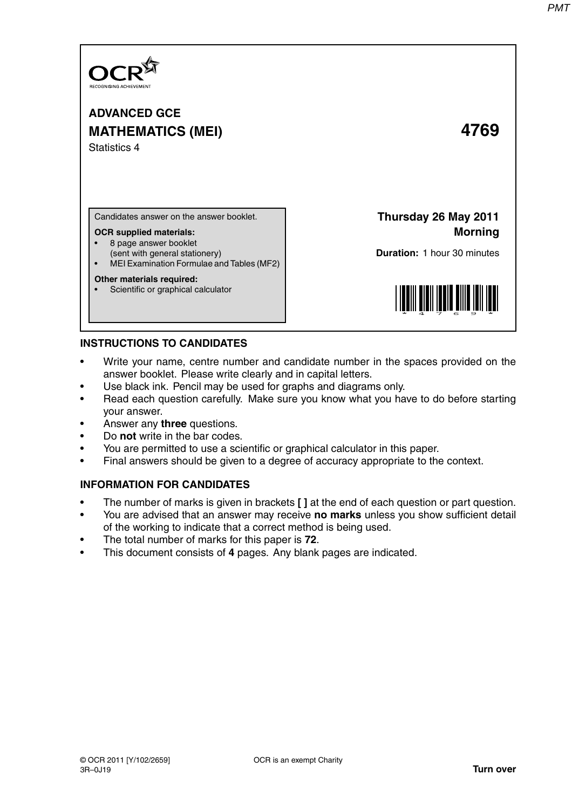

**ADVANCED GCE MATHEMATICS (MEI) 4769** Statistics 4

Candidates answer on the answer booklet.

#### **OCR supplied materials:**

- 8 page answer booklet
- (sent with general stationery)
- MEI Examination Formulae and Tables (MF2)

#### **Other materials required:**

Scientific or graphical calculator

**Thursday 26 May 2011 Morning**

**Duration:** 1 hour 30 minutes



#### **INSTRUCTIONS TO CANDIDATES**

- Write your name, centre number and candidate number in the spaces provided on the answer booklet. Please write clearly and in capital letters.
- Use black ink. Pencil may be used for graphs and diagrams only.
- Read each question carefully. Make sure you know what you have to do before starting your answer.
- Answer any **three** questions.
- Do **not** write in the bar codes.
- You are permitted to use a scientific or graphical calculator in this paper.
- Final answers should be given to a degree of accuracy appropriate to the context.

#### **INFORMATION FOR CANDIDATES**

- The number of marks is given in brackets **[ ]** at the end of each question or part question.
- You are advised that an answer may receive **no marks** unless you show sufficient detail of the working to indicate that a correct method is being used.
- The total number of marks for this paper is **72**.
- This document consists of **4** pages. Any blank pages are indicated.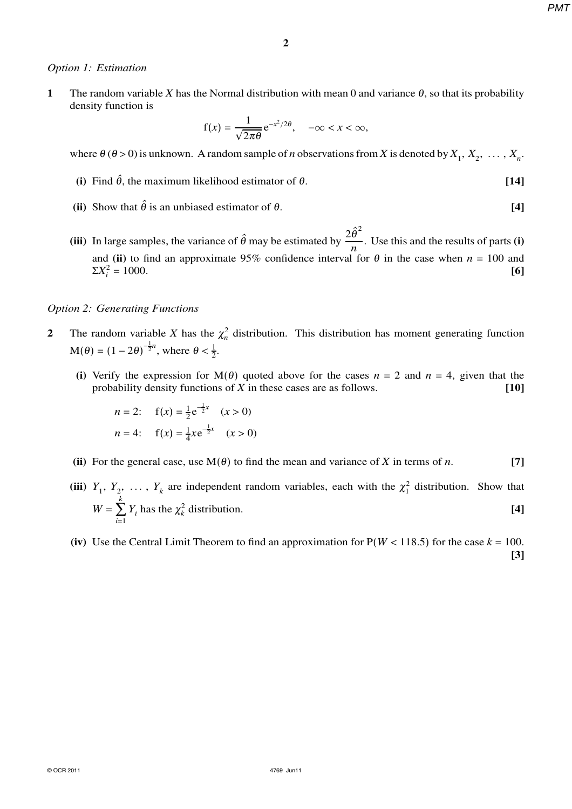#### *Option 1: Estimation*

**1** The random variable *X* has the Normal distribution with mean 0 and variance  $\theta$ , so that its probability density function is

$$
f(x) = \frac{1}{\sqrt{2\pi\theta}} e^{-x^2/2\theta}, \quad -\infty < x < \infty,
$$

where  $\theta$  ( $\theta$  > 0) is unknown. A random sample of *n* observations from *X* is denoted by  $X_1, X_2, \ldots, X_n$ .

- (i) Find  $\hat{\theta}$ , the maximum likelihood estimator of  $\theta$ . [14]
- **(ii)** Show that  $\hat{\theta}$  is an unbiased estimator of  $\theta$ . [4]
- **(iii)** In large samples, the variance of  $\hat{\theta}$  may be estimated by  $\frac{2\hat{\theta}^2}{\hat{\theta}^2}$  $\frac{\sigma}{n}$ . Use this and the results of parts **(i)** and **(ii)** to find an approximate 95% confidence interval for  $\theta$  in the case when  $n = 100$  and  $\Sigma X_i^2 = 1000$ . Σ*X* 2 *i*  $= 1000.$  **[6]**

#### *Option 2: Generating Functions*

- **2** The random variable *X* has the  $\chi^2$  distribution. This distribution has moment generating function  $M(\theta) = (1 - 2\theta)^{-\frac{1}{2}n}$ , where  $\theta < \frac{1}{2}$  $\frac{1}{2}$ .
	- (i) Verify the expression for  $M(\theta)$  quoted above for the cases  $n = 2$  and  $n = 4$ , given that the probability density functions of X in these cases are as follows. probability density functions of  $X$  in these cases are as follows.

*n* = 2: 
$$
f(x) = \frac{1}{2}e^{-\frac{1}{2}x}
$$
  $(x > 0)$   
\n*n* = 4:  $f(x) = \frac{1}{4}xe^{-\frac{1}{2}x}$   $(x > 0)$ 

- **(ii)** For the general case, use  $M(\theta)$  to find the mean and variance of *X* in terms of *n*. [7]
- (iii)  $Y_1, Y_2, \ldots, Y_k$  are independent random variables, each with the  $\chi_1^2$  distribution. Show that *W* <sup>=</sup> *k* ∑ *i*=1 *Y*<sub>*i*</sub> has the  $\chi^2_k$  distribution. **[4]**
- (iv) Use the Central Limit Theorem to find an approximation for  $P(W < 118.5)$  for the case  $k = 100$ . **[3]**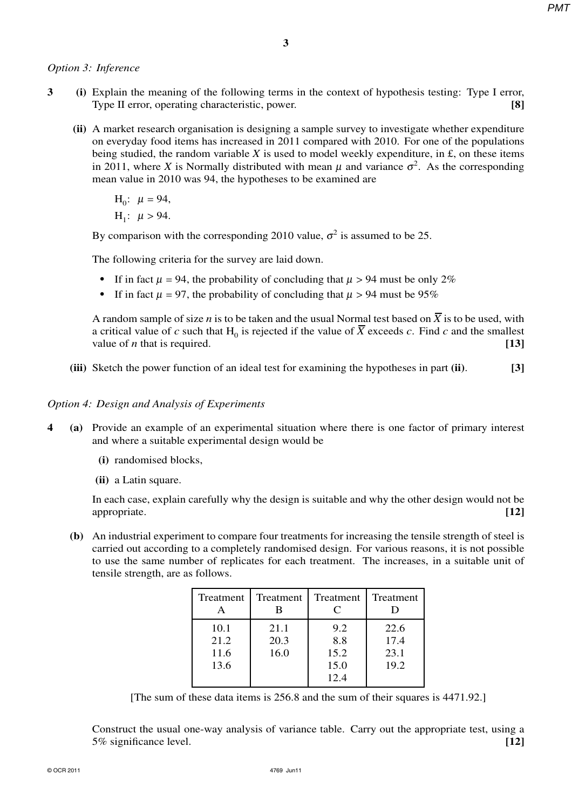## *Option 3: Inference*

- **3 (i)** Explain the meaning of the following terms in the context of hypothesis testing: Type I error, Type II error, operating characteristic, power. **[8]**
	- **(ii)** A market research organisation is designing a sample survey to investigate whether expenditure on everyday food items has increased in 2011 compared with 2010. For one of the populations being studied, the random variable *X* is used to model weekly expenditure, in £, on these items in 2011, where *X* is Normally distributed with mean  $\mu$  and variance  $\sigma^2$ . As the corresponding mean value in 2010 was 94, the hypotheses to be examined are

 $H_0$ :  $\mu = 94$ ,  $H_1$ :  $\mu > 94$ .

By comparison with the corresponding 2010 value,  $\sigma^2$  is assumed to be 25.

The following criteria for the survey are laid down.

- If in fact  $\mu = 94$ , the probability of concluding that  $\mu > 94$  must be only 2%
- If in fact  $\mu = 97$ , the probability of concluding that  $\mu > 94$  must be 95%

A random sample of size *n* is to be taken and the usual Normal test based on  $\overline{X}$  is to be used, with a critical value of *c* such that  $H_0$  is rejected if the value of  $\overline{X}$  exceeds *c*. Find *c* and the smallest value of *n* that is required.  $\begin{bmatrix} 13 \end{bmatrix}$ 

**(iii)** Sketch the power function of an ideal test for examining the hypotheses in part **(ii)**. **[3]**

## *Option 4: Design and Analysis of Experiments*

- **4 (a)** Provide an example of an experimental situation where there is one factor of primary interest and where a suitable experimental design would be
	- **(i)** randomised blocks,
	- **(ii)** a Latin square.

In each case, explain carefully why the design is suitable and why the other design would not be appropriate. **[12]** *contract* 

**(b)** An industrial experiment to compare four treatments for increasing the tensile strength of steel is carried out according to a completely randomised design. For various reasons, it is not possible to use the same number of replicates for each treatment. The increases, in a suitable unit of tensile strength, are as follows.

| Treatment<br>A               | Treatment<br>B       | Treatment                          | Treatment                    |
|------------------------------|----------------------|------------------------------------|------------------------------|
| 10.1<br>21.2<br>11.6<br>13.6 | 21.1<br>20.3<br>16.0 | 9.2<br>8.8<br>15.2<br>15.0<br>12.4 | 22.6<br>17.4<br>23.1<br>19.2 |

[The sum of these data items is 256.8 and the sum of their squares is 4471.92.]

Construct the usual one-way analysis of variance table. Carry out the appropriate test, using a 5% significance level. **[12]**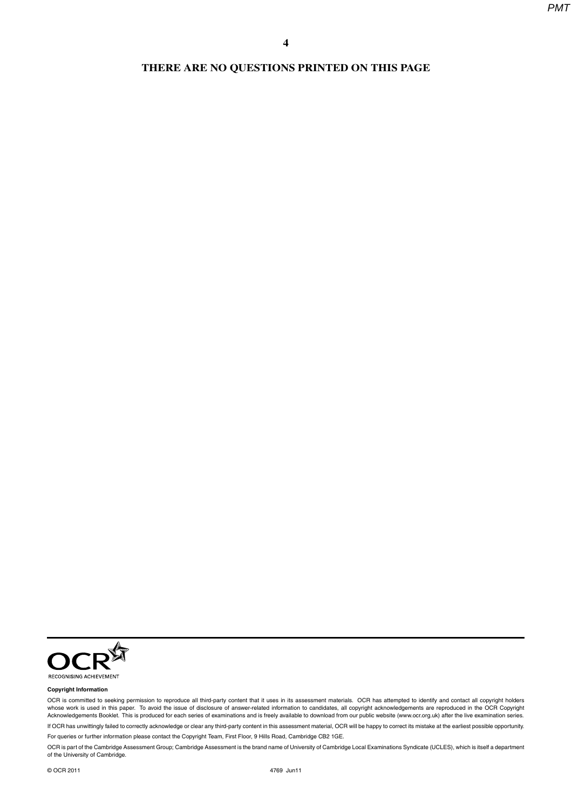#### **THERE ARE NO QUESTIONS PRINTED ON THIS PAGE**



#### **Copyright Information**

OCR is committed to seeking permission to reproduce all third-party content that it uses in its assessment materials. OCR has attempted to identify and contact all copyright holders whose work is used in this paper. To avoid the issue of disclosure of answer-related information to candidates, all copyright acknowledgements are reproduced in the OCR Copyright Acknowledgements Booklet. This is produced for each series of examinations and is freely available to download from our public website (www.ocr.org.uk) after the live examination series.

If OCR has unwittingly failed to correctly acknowledge or clear any third-party content in this assessment material, OCR will be happy to correct its mistake at the earliest possible opportunity. For queries or further information please contact the Copyright Team, First Floor, 9 Hills Road, Cambridge CB2 1GE.

OCR is part of the Cambridge Assessment Group; Cambridge Assessment is the brand name of University of Cambridge Local Examinations Syndicate (UCLES), which is itself a department of the University of Cambridge.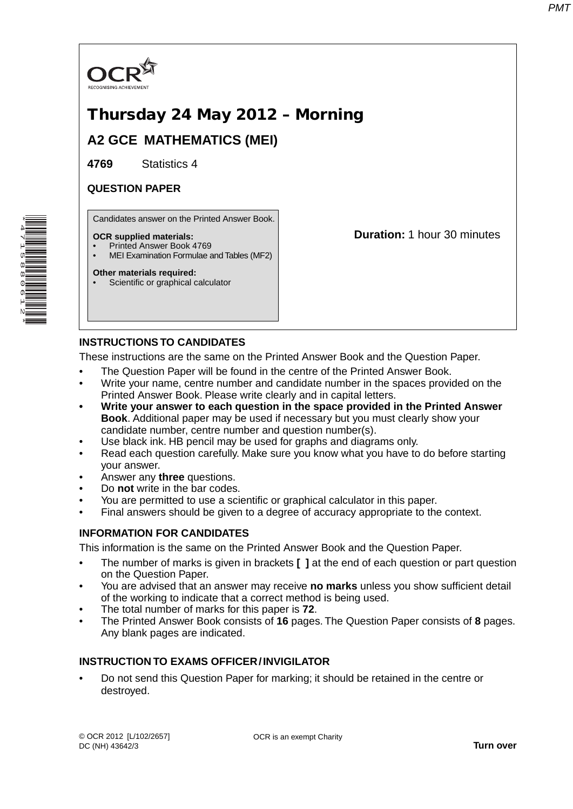

# Thursday 24 May 2012 – Morning

# **A2 GCE MATHEMATICS (MEI)**

**4769** Statistics 4

# **QUESTION PAPER**

Candidates answer on the Printed Answer Book.

#### **OCR supplied materials:**

- Printed Answer Book 4769
- MEI Examination Formulae and Tables (MF2)

#### **Other materials required:**

Scientific or graphical calculator

**Duration:** 1 hour 30 minutes

# **INSTRUCTIONS TO CANDIDATES**

These instructions are the same on the Printed Answer Book and the Question Paper.

- The Question Paper will be found in the centre of the Printed Answer Book.
- Write your name, centre number and candidate number in the spaces provided on the Printed Answer Book. Please write clearly and in capital letters.
- **Write your answer to each question in the space provided in the Printed Answer Book**. Additional paper may be used if necessary but you must clearly show your candidate number, centre number and question number(s).
- Use black ink. HB pencil may be used for graphs and diagrams only.
- Read each question carefully. Make sure you know what you have to do before starting your answer.
- Answer any **three** questions.
- Do **not** write in the bar codes.
- You are permitted to use a scientific or graphical calculator in this paper.
- Final answers should be given to a degree of accuracy appropriate to the context.

# **INFORMATION FOR CANDIDATES**

This information is the same on the Printed Answer Book and the Question Paper.

- The number of marks is given in brackets **[ ]** at the end of each question or part question on the Question Paper.
- You are advised that an answer may receive **no marks** unless you show sufficient detail of the working to indicate that a correct method is being used.
- The total number of marks for this paper is **72**.
- The Printed Answer Book consists of **16** pages. The Question Paper consists of **8** pages. Any blank pages are indicated.

# **INSTRUCTION TO EXAMS OFFICER / INVIGILATOR**

• Do not send this Question Paper for marking; it should be retained in the centre or destroyed.

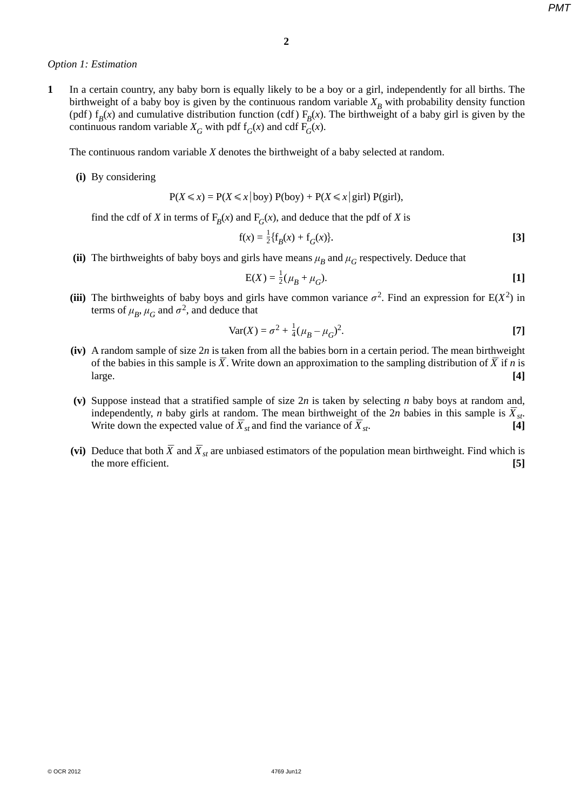#### *Option 1: Estimation*

**1** In a certain country, any baby born is equally likely to be a boy or a girl, independently for all births. The birthweight of a baby boy is given by the continuous random variable  $X_B$  with probability density function (pdf)  $f_B(x)$  and cumulative distribution function (cdf)  $F_B(x)$ . The birthweight of a baby girl is given by the continuous random variable  $X_G$  with pdf  $f_G(x)$  and cdf  $F_G(x)$ .

The continuous random variable *X* denotes the birthweight of a baby selected at random.

 **(i)** By considering

$$
P(X \leq x) = P(X \leq x \mid boy) P(boy) + P(X \leq x \mid girl) P(girl),
$$

find the cdf of *X* in terms of  $F_B(x)$  and  $F_G(x)$ , and deduce that the pdf of *X* is

$$
f(x) = \frac{1}{2} \{ f_B(x) + f_G(x) \}.
$$
 [3]

**(ii)** The birthweights of baby boys and girls have means  $\mu_B$  and  $\mu_C$  respectively. Deduce that

$$
E(X) = \frac{1}{2}(\mu_B + \mu_G). \tag{1}
$$

(iii) The birthweights of baby boys and girls have common variance  $\sigma^2$ . Find an expression for E(*X*<sup>2</sup>) in terms of  $\mu_B$ ,  $\mu_G$  and  $\sigma^2$ , and deduce that

$$
Var(X) = \sigma^2 + \frac{1}{4}(\mu_B - \mu_G)^2.
$$
 [7]

- **(iv)** A random sample of size 2*n* is taken from all the babies born in a certain period. The mean birthweight of the babies in this sample is  $\bar{X}$ . Write down an approximation to the sampling distribution of  $\bar{X}$  if  $n$  is large. **[4]**
- **(v)** Suppose instead that a stratified sample of size 2*n* is taken by selecting *n* baby boys at random and, independently, *n* baby girls at random. The mean birthweight of the 2*n* babies in this sample is  $X_{st}$ . Write down the expected value of  $\overline{X}_{st}$  and find the variance of  $\overline{X}_{st}$ . [4]
- (vi) Deduce that both  $\bar{X}$  and  $\bar{X}_{st}$  are unbiased estimators of the population mean birthweight. Find which is the more efficient. **[5] [5]**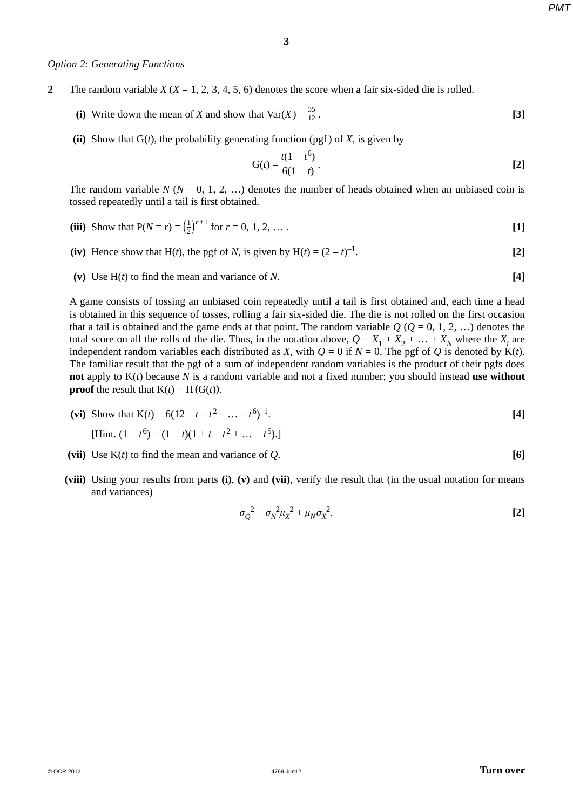#### *Option 2: Generating Functions*

- **2** The random variable *X* ( $X = 1, 2, 3, 4, 5, 6$ ) denotes the score when a fair six-sided die is rolled.
	- **(i)** Write down the mean of *X* and show that  $Var(X) = \frac{35}{12}$ .  $\frac{33}{12}$ . [3]
	- **(ii)** Show that  $G(t)$ , the probability generating function (pgf) of *X*, is given by

$$
G(t) = \frac{t(1 - t^6)}{6(1 - t)}.
$$
 [2]

The random variable  $N (N = 0, 1, 2, ...)$  denotes the number of heads obtained when an unbiased coin is tossed repeatedly until a tail is first obtained.

- (iii) Show that  $P(N = r) = (\frac{1}{2})^{r+1}$  for  $r = 0, 1, 2, ...$  [1]
	- **(iv)** Hence show that H(*t*), the pgf of *N*, is given by H(*t*) =  $(2 t)^{-1}$ .  $^{-1}$ . **[2]**
	- **(v)** Use H(*t*) to find the mean and variance of *N*. **[4]**

A game consists of tossing an unbiased coin repeatedly until a tail is first obtained and, each time a head is obtained in this sequence of tosses, rolling a fair six-sided die. The die is not rolled on the first occasion that a tail is obtained and the game ends at that point. The random variable  $Q$  ( $Q = 0, 1, 2, ...$ ) denotes the total score on all the rolls of the die. Thus, in the notation above,  $Q = X_1 + X_2 + ... + X_N$  where the  $X_i$  are independent random variables each distributed as *X*, with  $Q = 0$  if  $N = 0$ . The pgf of *Q* is denoted by  $K(t)$ . The familiar result that the pgf of a sum of independent random variables is the product of their pgfs does **not** apply to K(*t*) because *N* is a random variable and not a fixed number; you should instead **use without proof** the result that  $K(t) = H(G(t))$ .

(vi) Show that  $K(t) = 6(12 - t - t^2 - \dots - t^6)^{-1}$ . –1. **[4]**

[Hint. 
$$
(1 - t^6) = (1 - t)(1 + t + t^2 + ... + t^5)
$$
.]

- **(vii)** Use  $K(t)$  to find the mean and variance of *Q*.  $[6]$
- **(viii)** Using your results from parts **(i)**, **(v)** and **(vii)**, verify the result that (in the usual notation for means and variances)

$$
\sigma_Q^2 = \sigma_N^2 \mu_X^2 + \mu_N \sigma_X^2.
$$
 [2]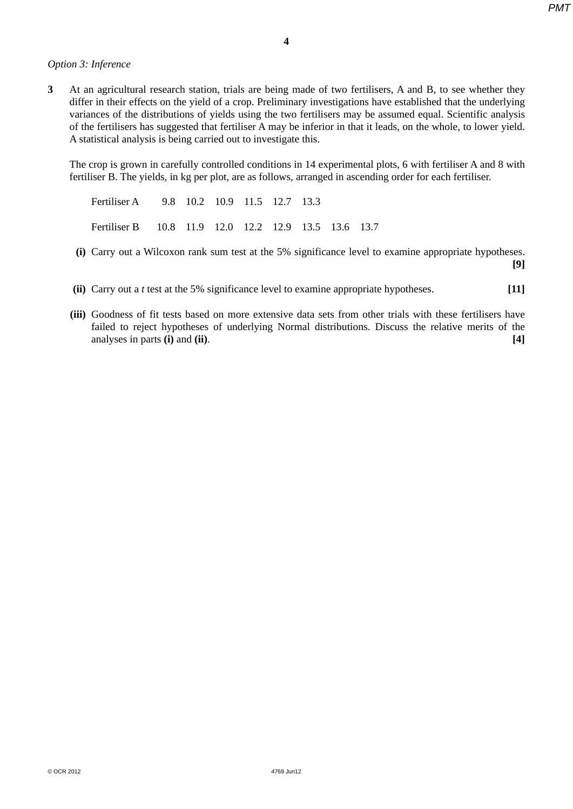#### *Option 3: Inference*

**3** At an agricultural research station, trials are being made of two fertilisers, A and B, to see whether they differ in their effects on the yield of a crop. Preliminary investigations have established that the underlying variances of the distributions of yields using the two fertilisers may be assumed equal. Scientific analysis of the fertilisers has suggested that fertiliser A may be inferior in that it leads, on the whole, to lower yield. A statistical analysis is being carried out to investigate this.

The crop is grown in carefully controlled conditions in 14 experimental plots, 6 with fertiliser A and 8 with fertiliser B. The yields, in kg per plot, are as follows, arranged in ascending order for each fertiliser.

Fertiliser A 9.8 10.2 10.9 11.5 12.7 13.3 Fertiliser B 10.8 11.9 12.0 12.2 12.9 13.5 13.6 13.7

- **(i)** Carry out a Wilcoxon rank sum test at the 5% significance level to examine appropriate hypotheses. **[9]**
- **(ii)** Carry out a *t* test at the 5% significance level to examine appropriate hypotheses. **[11]**
- **(iii)** Goodness of fit tests based on more extensive data sets from other trials with these fertilisers have failed to reject hypotheses of underlying Normal distributions. Discuss the relative merits of the analyses in parts **(i)** and **(ii)**. **[4]**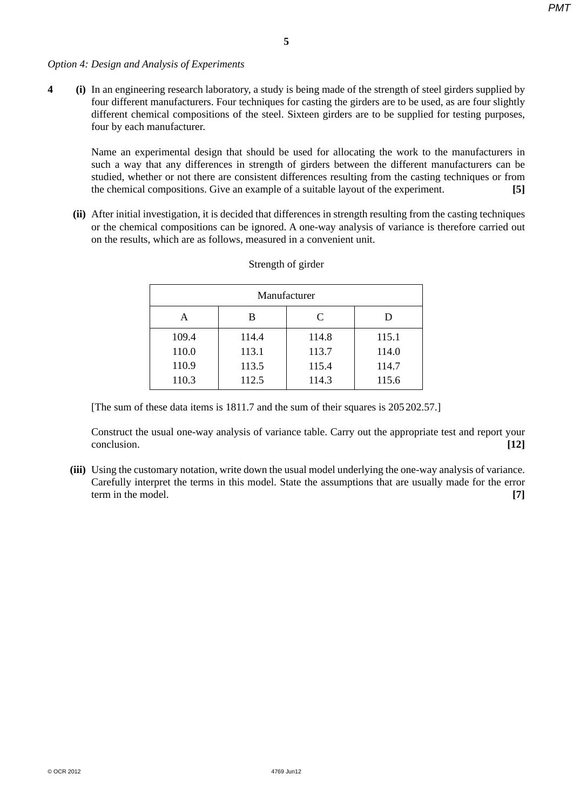*Option 4: Design and Analysis of Experiments*

**4 (i)** In an engineering research laboratory, a study is being made of the strength of steel girders supplied by four different manufacturers. Four techniques for casting the girders are to be used, as are four slightly different chemical compositions of the steel. Sixteen girders are to be supplied for testing purposes, four by each manufacturer.

Name an experimental design that should be used for allocating the work to the manufacturers in such a way that any differences in strength of girders between the different manufacturers can be studied, whether or not there are consistent differences resulting from the casting techniques or from the chemical compositions. Give an example of a suitable layout of the experiment. **[5]**

 **(ii)** After initial investigation, it is decided that differences in strength resulting from the casting techniques or the chemical compositions can be ignored. A one-way analysis of variance is therefore carried out on the results, which are as follows, measured in a convenient unit.

| Manufacturer |       |       |       |  |
|--------------|-------|-------|-------|--|
|              | В     | C     |       |  |
| 109.4        | 114.4 | 114.8 | 115.1 |  |
| 110.0        | 113.1 | 113.7 | 114.0 |  |
| 110.9        | 113.5 | 115.4 | 114.7 |  |
| 110.3        | 112.5 | 114.3 | 115.6 |  |

#### Strength of girder

[The sum of these data items is 1811.7 and the sum of their squares is 205 202.57.]

Construct the usual one-way analysis of variance table. Carry out the appropriate test and report your conclusion. **[12]**

 **(iii)** Using the customary notation, write down the usual model underlying the one-way analysis of variance. Carefully interpret the terms in this model. State the assumptions that are usually made for the error term in the model. **[7]**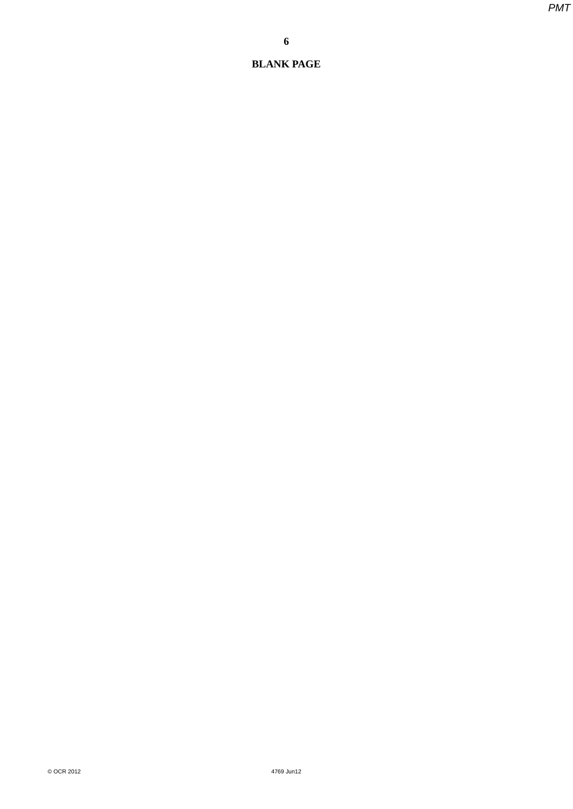# **6**

# **BLANK PAGE**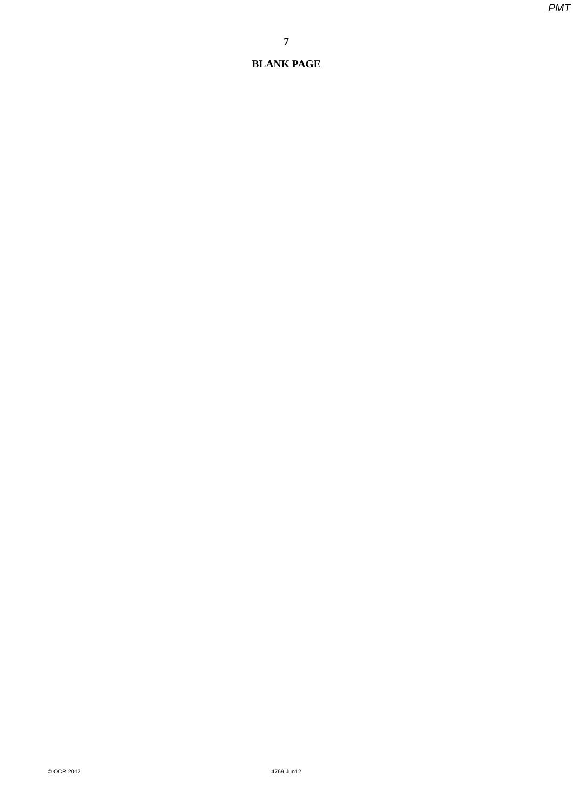# **BLANK PAGE**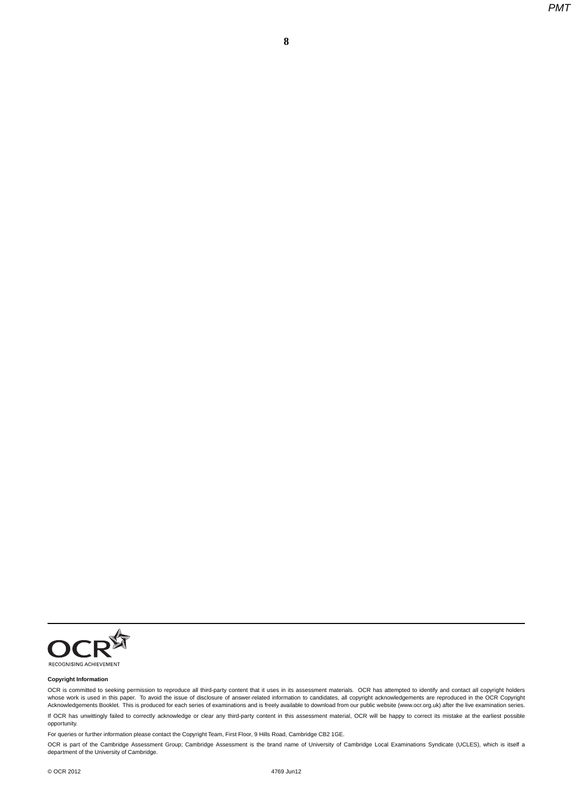

#### **Copyright Information**

OCR is committed to seeking permission to reproduce all third-party content that it uses in its assessment materials. OCR has attempted to identify and contact all copyright holders whose work is used in this paper. To avoid the issue of disclosure of answer-related information to candidates, all copyright acknowledgements are reproduced in the OCR Copyright<br>Acknowledgements Booklet. This is produced

**8**

If OCR has unwittingly failed to correctly acknowledge or clear any third-party content in this assessment material, OCR will be happy to correct its mistake at the earliest possible opportunity.

For queries or further information please contact the Copyright Team, First Floor, 9 Hills Road, Cambridge CB2 1GE.

OCR is part of the Cambridge Assessment Group; Cambridge Assessment is the brand name of University of Cambridge Local Examinations Syndicate (UCLES), which is itself a department of the University of Cambridge.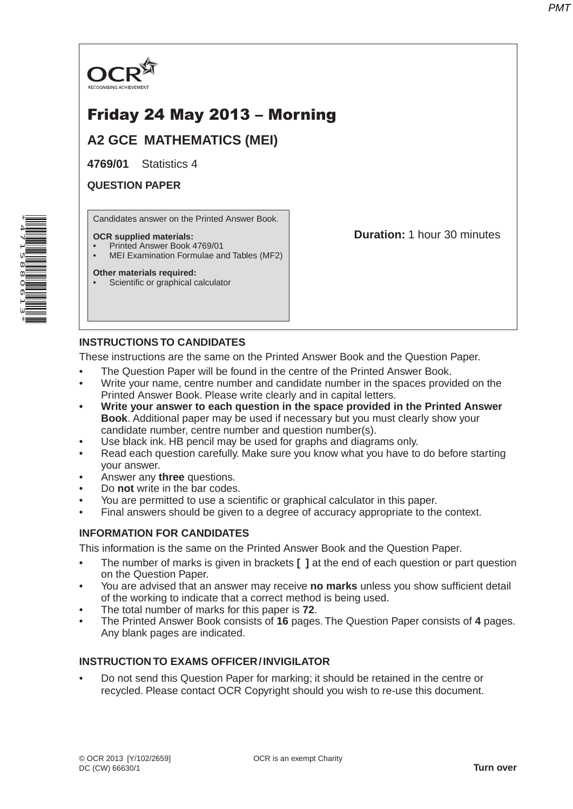

# Friday 24 May 2013 – Morning

**A2 GCE MATHEMATICS (MEI)**

**4769/01** Statistics 4

**QUESTION PAPER**

\*

\*

Candidates answer on the Printed Answer Book.

#### **OCR supplied materials:**

- Printed Answer Book 4769/01
- MEI Examination Formulae and Tables (MF2)

#### **Other materials required:**

Scientific or graphical calculator

**Duration:** 1 hour 30 minutes

# **INSTRUCTIONS TO CANDIDATES**

These instructions are the same on the Printed Answer Book and the Question Paper.

- The Question Paper will be found in the centre of the Printed Answer Book.
- Write your name, centre number and candidate number in the spaces provided on the Printed Answer Book. Please write clearly and in capital letters.
- **Write your answer to each question in the space provided in the Printed Answer Book**. Additional paper may be used if necessary but you must clearly show your candidate number, centre number and question number(s).
- Use black ink. HB pencil may be used for graphs and diagrams only.
- Read each question carefully. Make sure you know what you have to do before starting your answer.
- Answer any **three** questions.
- Do **not** write in the bar codes.
- You are permitted to use a scientific or graphical calculator in this paper.
- Final answers should be given to a degree of accuracy appropriate to the context.

# **INFORMATION FOR CANDIDATES**

This information is the same on the Printed Answer Book and the Question Paper.

- The number of marks is given in brackets **[ ]** at the end of each question or part question on the Question Paper.
- You are advised that an answer may receive **no marks** unless you show sufficient detail of the working to indicate that a correct method is being used.
- The total number of marks for this paper is **72**.
- The Printed Answer Book consists of **16** pages. The Question Paper consists of **4** pages. Any blank pages are indicated.

# **INSTRUCTION TO EXAMS OFFICER / INVIGILATOR**

• Do not send this Question Paper for marking; it should be retained in the centre or recycled. Please contact OCR Copyright should you wish to re-use this document.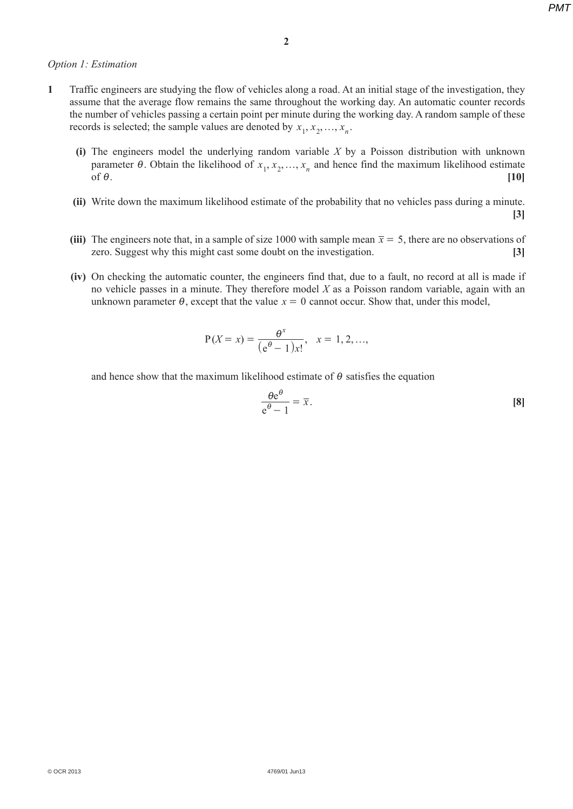# *Option 1: Estimation*

- **1**  Traffic engineers are studying the flow of vehicles along a road. At an initial stage of the investigation, they assume that the average flow remains the same throughout the working day. An automatic counter records the number of vehicles passing a certain point per minute during the working day. A random sample of these records is selected; the sample values are denoted by  $x_1, x_2, ..., x_n$ .
	- **(i)** The engineers model the underlying random variable *X* by a Poisson distribution with unknown parameter  $\theta$ . Obtain the likelihood of  $x_1, x_2, ..., x_n$  and hence find the maximum likelihood estimate of  $\theta$ . of  $\theta$ . [10]
	- **(ii)** Write down the maximum likelihood estimate of the probability that no vehicles pass during a minute. **[3]**
	- **(iii)** The engineers note that, in a sample of size 1000 with sample mean  $\bar{x} = 5$ , there are no observations of zero. Suggest why this might cast some doubt on the investigation. **[3]**
	- **(iv)** On checking the automatic counter, the engineers find that, due to a fault, no record at all is made if no vehicle passes in a minute. They therefore model *X* as a Poisson random variable, again with an unknown parameter  $\theta$ , except that the value  $x = 0$  cannot occur. Show that, under this model,

$$
P(X = x) = \frac{\theta^x}{(e^{\theta} - 1)x!}, \quad x = 1, 2, ...,
$$

and hence show that the maximum likelihood estimate of  $\theta$  satisfies the equation

$$
\frac{\theta e^{\theta}}{e^{\theta}-1} = \overline{x}.
$$
 [8]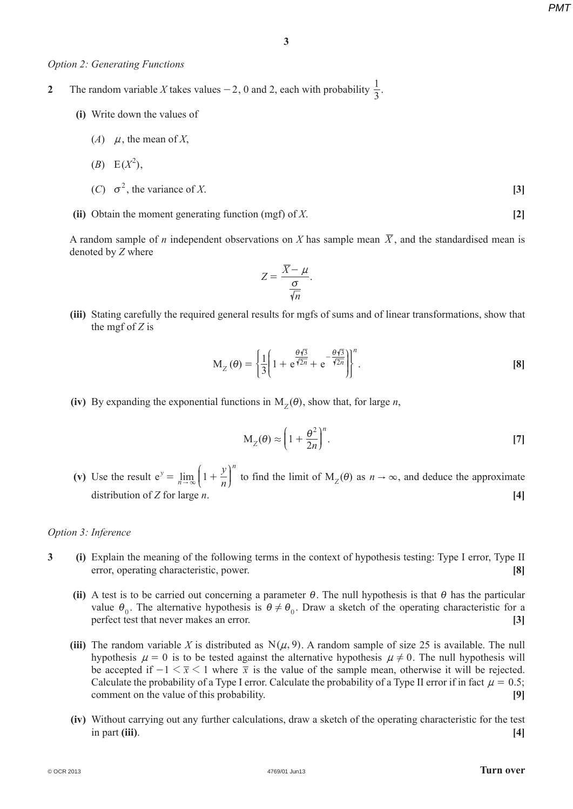#### *Option 2: Generating Functions*

- **2** The random variable *X* takes values  $-2$ , 0 and 2, each with probability  $\frac{1}{3}$ .
	- **(i)** Write down the values of
		- $(A)$  *µ*, the mean of *X*,

$$
(B) \quad \mathcal{E}(X^2),
$$

- $\sigma^2$ , the variance of *X*. **[3]**
- **(ii)** Obtain the moment generating function (mgf) of *X*. **[2]**

A random sample of *n* independent observations on *X* has sample mean  $\overline{X}$ , and the standardised mean is denoted by *Z* where

$$
Z = \frac{\overline{X} - \mu}{\frac{\sigma}{\sqrt{n}}}.
$$

**(iii)** Stating carefully the required general results for mgfs of sums and of linear transformations, show that the mgf of *Z* is

$$
M_Z(\theta) = \left\{ \frac{1}{3} \left( 1 + e^{\frac{\theta \sqrt{3}}{\sqrt{2n}}} + e^{-\frac{\theta \sqrt{3}}{\sqrt{2n}}} \right) \right\}^n.
$$
 [8]

**(iv)** By expanding the exponential functions in  $M_z(\theta)$ , show that, for large *n*,

$$
M_Z(\theta) \approx \left(1 + \frac{\theta^2}{2n}\right)^n.
$$

(v) Use the result  $e^y = \lim_{n \to \infty} \left(1 + \frac{y}{n}\right)$  $e^y = \lim_{n \to \infty} \left(1 + \frac{y}{n}\right)$ *n*  $=$   $\lim_{n \to \infty}$  | 1 +  $\overline{1}$ L  $\left(1+\frac{y}{y}\right)$ to find the limit of  $M_Z(\theta)$  as  $n \to \infty$ , and deduce the approximate  $\alpha$  distribution of *Z* for large *n*.

#### *Option 3: Inference*

- **3** (i) Explain the meaning of the following terms in the context of hypothesis testing: Type I error, Type II error, operating characteristic, power. **[8]**
	- **(ii)** A test is to be carried out concerning a parameter  $\theta$ . The null hypothesis is that  $\theta$  has the particular value  $\theta_0$ . The alternative hypothesis is  $\theta \neq \theta_0$ . Draw a sketch of the operating characteristic for a perfect test that never makes an error. **[3]**
	- **(iii)** The random variable *X* is distributed as  $N(\mu, 9)$ . A random sample of size 25 is available. The null hypothesis  $\mu = 0$  is to be tested against the alternative hypothesis  $\mu \neq 0$ . The null hypothesis will be accepted if  $-1 \le \overline{x} \le 1$  where  $\overline{x}$  is the value of the sample mean, otherwise it will be rejected. Calculate the probability of a Type I error. Calculate the probability of a Type II error if in fact  $\mu = 0.5$ ; comment on the value of this probability. **[9]**
	- **(iv)**  Without carrying out any further calculations, draw a sketch of the operating characteristic for the test in part **(iii)**. **[4]**